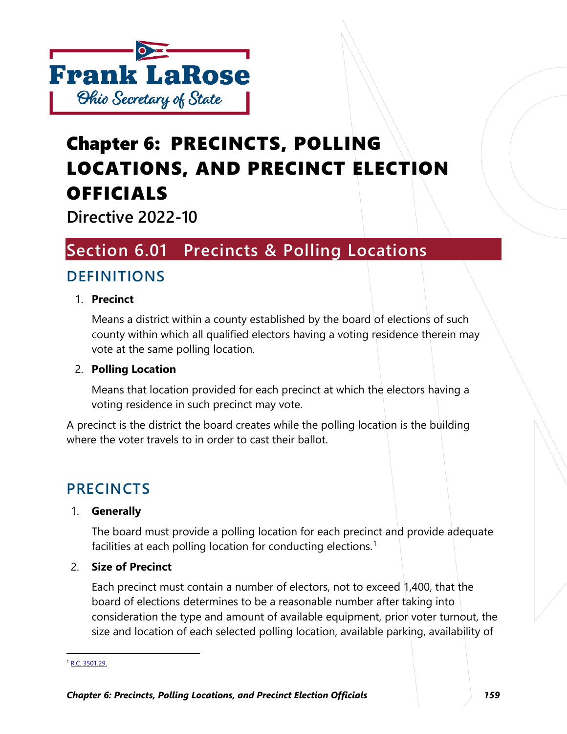

# Chapter 6: PRECINCTS, POLLING LOCATIONS, AND PRECINCT ELECTION OFFICIALS

**Directive 2022-10**

# **Section 6.01 Precincts & Polling Locations**

# **DEFINITIONS**

### 1. **Precinct**

Means a district within a county established by the board of elections of such county within which all qualified electors having a voting residence therein may vote at the same polling location.

### 2. **Polling Location**

Means that location provided for each precinct at which the electors having a voting residence in such precinct may vote.

A precinct is the district the board creates while the polling location is the building where the voter travels to in order to cast their ballot.

# **PRECINCTS**

### 1. **Generally**

The board must provide a polling location for each precinct and provide adequate facilities at each polling location for conducting elections.<sup>[1](#page-0-0)</sup>

### 2. **Size of Precinct**

Each precinct must contain a number of electors, not to exceed 1,400, that the board of elections determines to be a reasonable number after taking into consideration the type and amount of available equipment, prior voter turnout, the size and location of each selected polling location, available parking, availability of

<span id="page-0-0"></span><sup>&</sup>lt;sup>1</sup> [R.C. 3501.29.](http://codes.ohio.gov/orc/3501.29)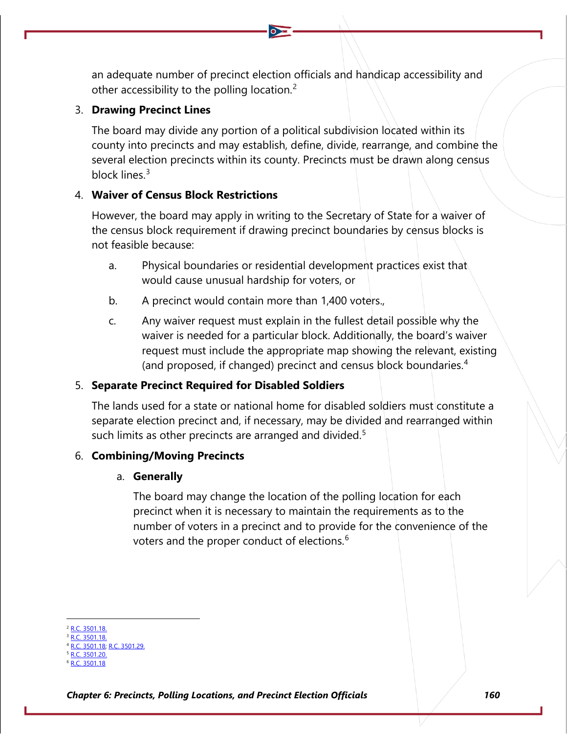an adequate number of precinct election officials and handicap accessibility and other accessibility to the polling location.<sup>[2](#page-1-0)</sup>

### 3. **Drawing Precinct Lines**

The board may divide any portion of a political subdivision located within its county into precincts and may establish, define, divide, rearrange, and combine the several election precincts within its county. Precincts must be drawn along census block lines.<sup>[3](#page-1-1)</sup>

### 4. **Waiver of Census Block Restrictions**

However, the board may apply in writing to the Secretary of State for a waiver of the census block requirement if drawing precinct boundaries by census blocks is not feasible because:

- a. Physical boundaries or residential development practices exist that would cause unusual hardship for voters, or
- b. A precinct would contain more than 1,400 voters.,
- c. Any waiver request must explain in the fullest detail possible why the waiver is needed for a particular block. Additionally, the board's waiver request must include the appropriate map showing the relevant, existing (and proposed, if changed) precinct and census block boundaries.[4](#page-1-2)

### 5. **Separate Precinct Required for Disabled Soldiers**

The lands used for a state or national home for disabled soldiers must constitute a separate election precinct and, if necessary, may be divided and rearranged within such limits as other precincts are arranged and divided.<sup>[5](#page-1-3)</sup>

### 6. **Combining/Moving Precincts**

### a. **Generally**

The board may change the location of the polling location for each precinct when it is necessary to maintain the requirements as to the number of voters in a precinct and to provide for the convenience of the voters and the proper conduct of elections.<sup>[6](#page-1-4)</sup>

<span id="page-1-1"></span><span id="page-1-0"></span><sup>2</sup> [R.C. 3501.18.](http://codes.ohio.gov/orc/3501.18)

 $\overline{3501.18}$ .

<span id="page-1-2"></span><sup>3501.18;</sup> [R.C. 3501.29.](http://codes.ohio.gov/orc/3501.29) 3501.20

<span id="page-1-4"></span><span id="page-1-3"></span><sup>8 3501.18</sup>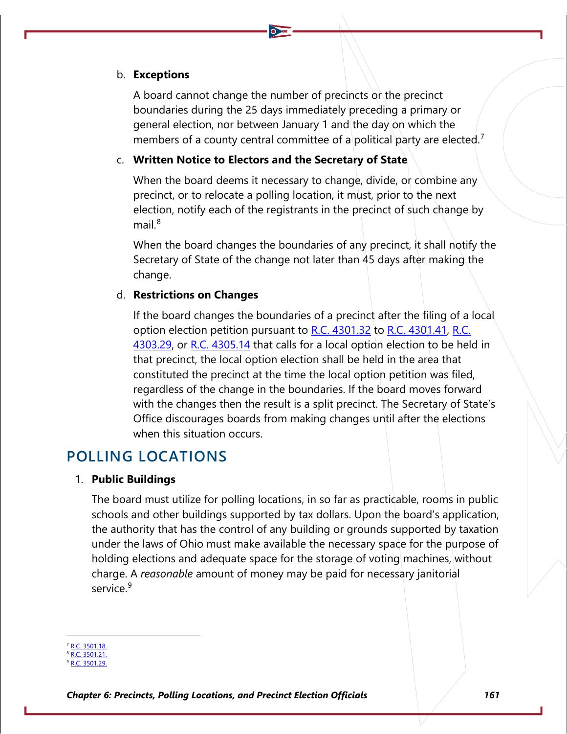#### b. **Exceptions**

A board cannot change the number of precincts or the precinct boundaries during the 25 days immediately preceding a primary or general election, nor between January 1 and the day on which the members of a county central committee of a political party are elected.<sup>[7](#page-2-0)</sup>

#### c. **Written Notice to Electors and the Secretary of State**

When the board deems it necessary to change, divide, or combine any precinct, or to relocate a polling location, it must, prior to the next election, notify each of the registrants in the precinct of such change by mail. $8$ 

When the board changes the boundaries of any precinct, it shall notify the Secretary of State of the change not later than 45 days after making the change.

#### d. **Restrictions on Changes**

If the board changes the boundaries of a precinct after the filing of a local option election petition pursuant to [R.C. 4301.32](http://codes.ohio.gov/orc/4301.32) to [R.C. 4301.41,](http://codes.ohio.gov/orc/4301.41) [R.C.](http://codes.ohio.gov/orc/4303.29)  [4303.29,](http://codes.ohio.gov/orc/4303.29) or [R.C. 4305.14](http://codes.ohio.gov/orc/4305.14) that calls for a local option election to be held in that precinct, the local option election shall be held in the area that constituted the precinct at the time the local option petition was filed, regardless of the change in the boundaries. If the board moves forward with the changes then the result is a split precinct. The Secretary of State's Office discourages boards from making changes until after the elections when this situation occurs.

## **POLLING LOCATIONS**

#### 1. **Public Buildings**

The board must utilize for polling locations, in so far as practicable, rooms in public schools and other buildings supported by tax dollars. Upon the board's application, the authority that has the control of any building or grounds supported by taxation under the laws of Ohio must make available the necessary space for the purpose of holding elections and adequate space for the storage of voting machines, without charge. A *reasonable* amount of money may be paid for necessary janitorial service.<sup>[9](#page-2-2)</sup>

<span id="page-2-0"></span>R.C. 3501.18

<sup>8</sup> [R.C. 3501.21.](http://codes.ohio.gov/orc/3501.21)

<span id="page-2-2"></span><span id="page-2-1"></span> $2.3501.29$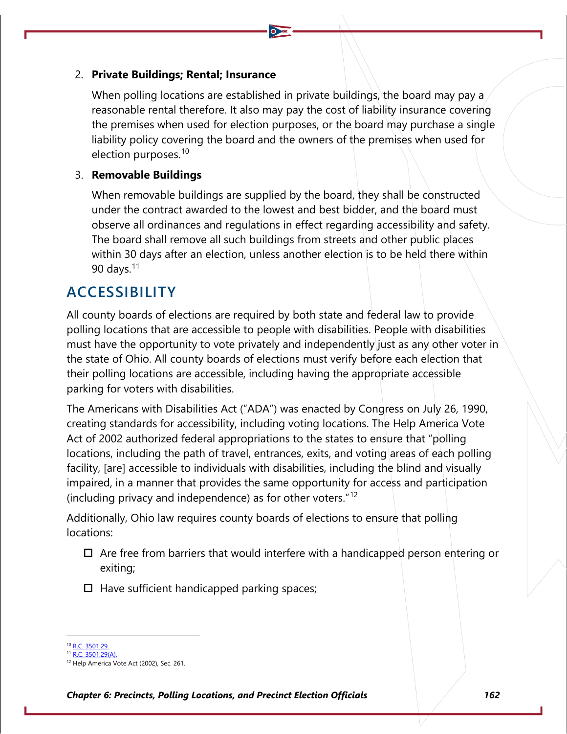#### 2. **Private Buildings; Rental; Insurance**

When polling locations are established in private buildings, the board may pay a reasonable rental therefore. It also may pay the cost of liability insurance covering the premises when used for election purposes, or the board may purchase a single liability policy covering the board and the owners of the premises when used for election purposes.<sup>[10](#page-3-0)</sup>

### 3. **Removable Buildings**

When removable buildings are supplied by the board, they shall be constructed under the contract awarded to the lowest and best bidder, and the board must observe all ordinances and regulations in effect regarding accessibility and safety. The board shall remove all such buildings from streets and other public places within 30 days after an election, unless another election is to be held there within 90 days. $11$ 

## **ACCESSIBILITY**

All county boards of elections are required by both state and federal law to provide polling locations that are accessible to people with disabilities. People with disabilities must have the opportunity to vote privately and independently just as any other voter in the state of Ohio. All county boards of elections must verify before each election that their polling locations are accessible, including having the appropriate accessible parking for voters with disabilities.

The Americans with Disabilities Act ("ADA") was enacted by Congress on July 26, 1990, creating standards for accessibility, including voting locations. The Help America Vote Act of 2002 authorized federal appropriations to the states to ensure that "polling locations, including the path of travel, entrances, exits, and voting areas of each polling facility, [are] accessible to individuals with disabilities, including the blind and visually impaired, in a manner that provides the same opportunity for access and participation (including privacy and independence) as for other voters."[12](#page-3-2)

Additionally, Ohio law requires county boards of elections to ensure that polling locations:

- $\Box$  Are free from barriers that would interfere with a handicapped person entering or exiting;
- $\Box$  Have sufficient handicapped parking spaces;

<span id="page-3-0"></span>R.C. 3501.29

 $11$  [R.C. 3501.29\(A\).](http://codes.ohio.gov/orc/3501.29)

<span id="page-3-2"></span><span id="page-3-1"></span><sup>&</sup>lt;sup>12</sup> Help America Vote Act (2002), Sec. 261.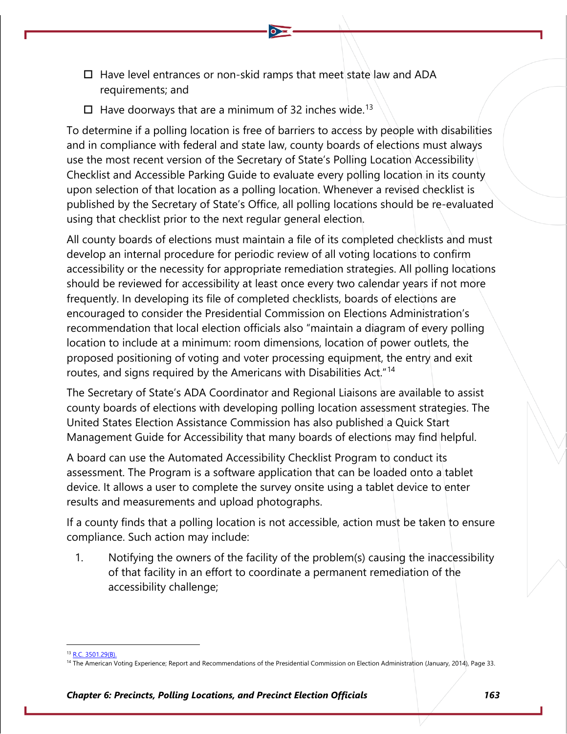- $\Box$  Have level entrances or non-skid ramps that meet state law and ADA requirements; and
- $\Box$  Have doorways that are a minimum of 32 inches wide.<sup>[13](#page-4-0)</sup>

To determine if a polling location is free of barriers to access by people with disabilities and in compliance with federal and state law, county boards of elections must always use the most recent version of the Secretary of State's Polling Location Accessibility Checklist and Accessible Parking Guide to evaluate every polling location in its county upon selection of that location as a polling location. Whenever a revised checklist is published by the Secretary of State's Office, all polling locations should be re-evaluated using that checklist prior to the next regular general election.

All county boards of elections must maintain a file of its completed checklists and must develop an internal procedure for periodic review of all voting locations to confirm accessibility or the necessity for appropriate remediation strategies. All polling locations should be reviewed for accessibility at least once every two calendar years if not more frequently. In developing its file of completed checklists, boards of elections are encouraged to consider the Presidential Commission on Elections Administration's recommendation that local election officials also "maintain a diagram of every polling location to include at a minimum: room dimensions, location of power outlets, the proposed positioning of voting and voter processing equipment, the entry and exit routes, and signs required by the Americans with Disabilities Act."[14](#page-4-1)

The Secretary of State's ADA Coordinator and Regional Liaisons are available to assist county boards of elections with developing polling location assessment strategies. The United States Election Assistance Commission has also published a Quick Start Management Guide for Accessibility that many boards of elections may find helpful.

A board can use the Automated Accessibility Checklist Program to conduct its assessment. The Program is a software application that can be loaded onto a tablet device. It allows a user to complete the survey onsite using a tablet device to enter results and measurements and upload photographs.

If a county finds that a polling location is not accessible, action must be taken to ensure compliance. Such action may include:

1. Notifying the owners of the facility of the problem(s) causing the inaccessibility of that facility in an effort to coordinate a permanent remediation of the accessibility challenge;

<sup>13</sup> [R.C. 3501.29\(B\).](http://codes.ohio.gov/orc/3501.29)

<span id="page-4-1"></span><span id="page-4-0"></span><sup>&</sup>lt;sup>14</sup> The American Voting Experience; Report and Recommendations of the Presidential Commission on Election Administration (January, 2014), Page 33.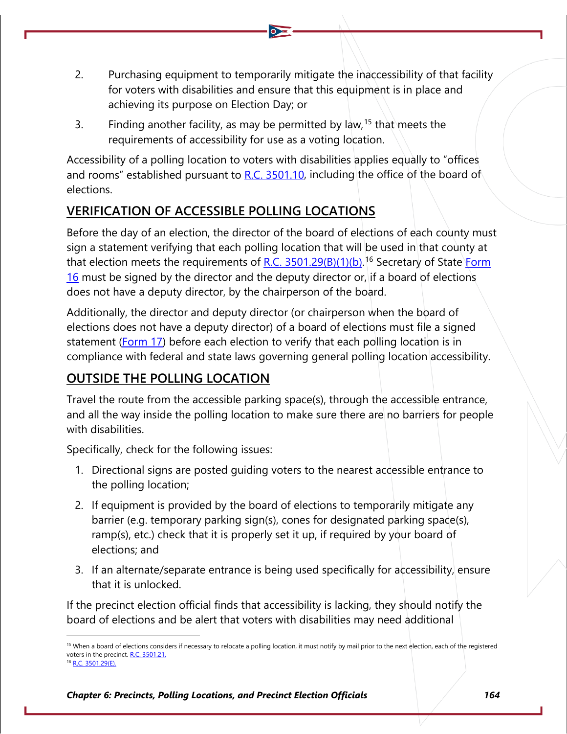- 2. Purchasing equipment to temporarily mitigate the inaccessibility of that facility for voters with disabilities and ensure that this equipment is in place and achieving its purpose on Election Day; or
- 3. Finding another facility, as may be permitted by law,  $15$  that meets the requirements of accessibility for use as a voting location.

Accessibility of a polling location to voters with disabilities applies equally to "offices and rooms" established pursuant to [R.C. 3501.10,](http://codes.ohio.gov/orc/3501.10) including the office of the board of elections.

## **VERIFICATION OF ACCESSIBLE POLLING LOCATIONS**

Before the day of an election, the director of the board of elections of each county must sign a statement verifying that each polling location that will be used in that county at that election meets the requirements of <u>R.C. 3501.29(B)(1)(b)</u>.<sup>[16](#page-5-1)</sup> Secretary of State Form  $16$  must be signed by the director and the deputy director or, if a board of elections does not have a deputy director, by the chairperson of the board.

Additionally, the director and deputy director (or chairperson when the board of elections does not have a deputy director) of a board of elections must file a signed statement [\(Form 17\)](https://www.ohiosos.gov/globalassets/elections/forms/17.pdf) before each election to verify that each polling location is in compliance with federal and state laws governing general polling location accessibility.

## **OUTSIDE THE POLLING LOCATION**

Travel the route from the accessible parking space(s), through the accessible entrance, and all the way inside the polling location to make sure there are no barriers for people with disabilities.

Specifically, check for the following issues:

- 1. Directional signs are posted guiding voters to the nearest accessible entrance to the polling location;
- 2. If equipment is provided by the board of elections to temporarily mitigate any barrier (e.g. temporary parking sign(s), cones for designated parking space(s), ramp(s), etc.) check that it is properly set it up, if required by your board of elections; and
- 3. If an alternate/separate entrance is being used specifically for accessibility, ensure that it is unlocked.

If the precinct election official finds that accessibility is lacking, they should notify the board of elections and be alert that voters with disabilities may need additional

<span id="page-5-1"></span><span id="page-5-0"></span><sup>&</sup>lt;sup>15</sup> When a board of elections considers if necessary to relocate a polling location, it must notify by mail prior to the next election, each of the registered voters in the precinct[. R.C. 3501.21.](http://codes.ohio.gov/orc/3501.21) <sup>6</sup> [R.C. 3501.29\(E\).](http://codes.ohio.gov/orc/3501.29)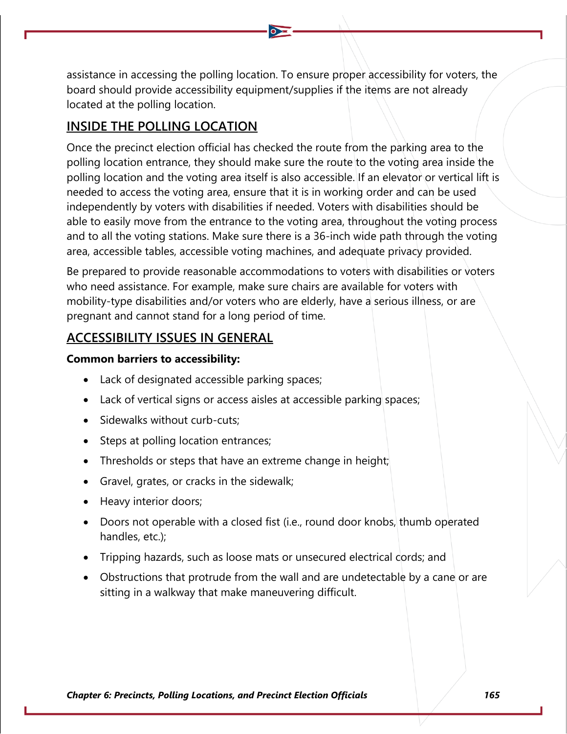assistance in accessing the polling location. To ensure proper accessibility for voters, the board should provide accessibility equipment/supplies if the items are not already located at the polling location.

### **INSIDE THE POLLING LOCATION**

Once the precinct election official has checked the route from the parking area to the polling location entrance, they should make sure the route to the voting area inside the polling location and the voting area itself is also accessible. If an elevator or vertical lift is needed to access the voting area, ensure that it is in working order and can be used independently by voters with disabilities if needed. Voters with disabilities should be able to easily move from the entrance to the voting area, throughout the voting process and to all the voting stations. Make sure there is a 36-inch wide path through the voting area, accessible tables, accessible voting machines, and adequate privacy provided.

Be prepared to provide reasonable accommodations to voters with disabilities or voters who need assistance. For example, make sure chairs are available for voters with mobility-type disabilities and/or voters who are elderly, have a serious illness, or are pregnant and cannot stand for a long period of time.

### **ACCESSIBILITY ISSUES IN GENERAL**

### **Common barriers to accessibility:**

- Lack of designated accessible parking spaces;
- Lack of vertical signs or access aisles at accessible parking spaces;
- Sidewalks without curb-cuts;
- Steps at polling location entrances;
- Thresholds or steps that have an extreme change in height;
- Gravel, grates, or cracks in the sidewalk;
- Heavy interior doors;
- Doors not operable with a closed fist (i.e., round door knobs, thumb operated handles, etc.);
- Tripping hazards, such as loose mats or unsecured electrical cords; and
- Obstructions that protrude from the wall and are undetectable by a cane or are sitting in a walkway that make maneuvering difficult.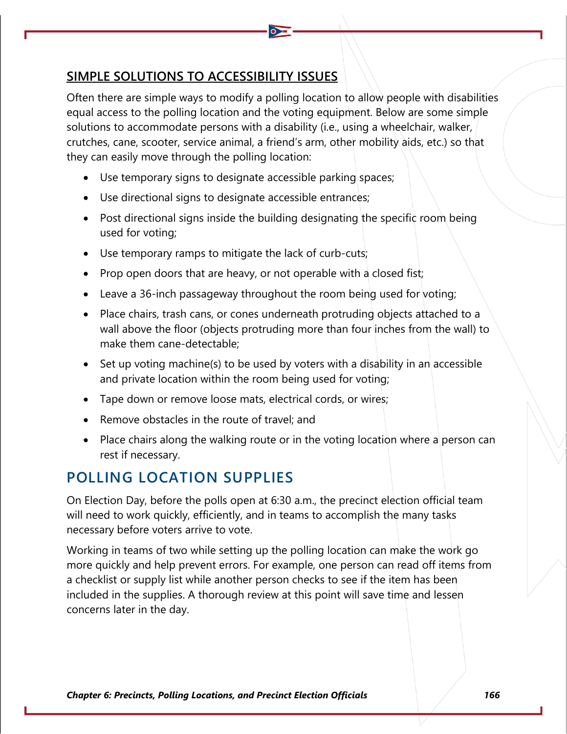### **SIMPLE SOLUTIONS TO ACCESSIBILITY ISSUES**

Often there are simple ways to modify a polling location to allow people with disabilities equal access to the polling location and the voting equipment. Below are some simple solutions to accommodate persons with a disability (i.e., using a wheelchair, walker, crutches, cane, scooter, service animal, a friend's arm, other mobility aids, etc.) so that they can easily move through the polling location:

- Use temporary signs to designate accessible parking spaces;
- Use directional signs to designate accessible entrances;
- Post directional signs inside the building designating the specific room being used for voting;
- Use temporary ramps to mitigate the lack of curb-cuts;
- Prop open doors that are heavy, or not operable with a closed fist;
- Leave a 36-inch passageway throughout the room being used for voting;
- Place chairs, trash cans, or cones underneath protruding objects attached to a wall above the floor (objects protruding more than four inches from the wall) to make them cane-detectable;
- Set up voting machine(s) to be used by voters with a disability in an accessible and private location within the room being used for voting;
- Tape down or remove loose mats, electrical cords, or wires;
- Remove obstacles in the route of travel; and
- Place chairs along the walking route or in the voting location where a person can rest if necessary.

# **POLLING LOCATION SUPPLIES**

On Election Day, before the polls open at 6:30 a.m., the precinct election official team will need to work quickly, efficiently, and in teams to accomplish the many tasks necessary before voters arrive to vote.

Working in teams of two while setting up the polling location can make the work go more quickly and help prevent errors. For example, one person can read off items from a checklist or supply list while another person checks to see if the item has been included in the supplies. A thorough review at this point will save time and lessen concerns later in the day.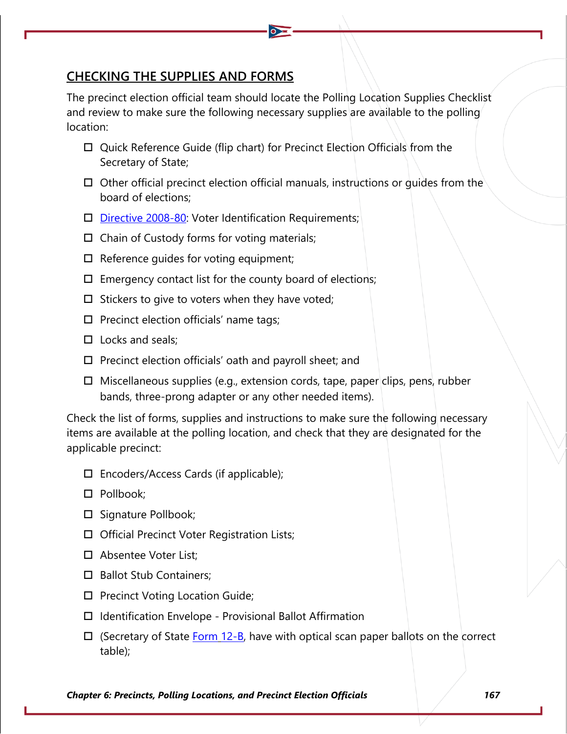### **CHECKING THE SUPPLIES AND FORMS**

The precinct election official team should locate the Polling Location Supplies Checklist and review to make sure the following necessary supplies are available to the polling location:

- □ Quick Reference Guide (flip chart) for Precinct Election Officials from the Secretary of State;
- $\Box$  Other official precinct election official manuals, instructions or quides from the board of elections;
- $\square$  [Directive 2008-80:](https://www.sos.state.oh.us/globalassets/elections/directives/2008/dir2008-80.pdf) Voter Identification Requirements;
- $\Box$  Chain of Custody forms for voting materials;
- $\Box$  Reference guides for voting equipment;
- $\Box$  Emergency contact list for the county board of elections;
- $\square$  Stickers to give to voters when they have voted;
- $\square$  Precinct election officials' name tags;
- $\Box$  Locks and seals:
- $\Box$  Precinct election officials' oath and payroll sheet; and
- $\Box$  Miscellaneous supplies (e.g., extension cords, tape, paper clips, pens, rubber bands, three-prong adapter or any other needed items).

Check the list of forms, supplies and instructions to make sure the following necessary items are available at the polling location, and check that they are designated for the applicable precinct:

- $\square$  Encoders/Access Cards (if applicable);
- □ Pollbook:
- $\square$  Signature Pollbook;
- □ Official Precinct Voter Registration Lists;
- □ Absentee Voter List:
- □ Ballot Stub Containers;
- $\square$  Precinct Voting Location Guide;
- $\Box$  Identification Envelope Provisional Ballot Affirmation
- $\Box$  (Secretary of State [Form](https://www.ohiosos.gov/globalassets/elections/forms/12-b_english.pdf) [12-B,](https://www.ohiosos.gov/globalassets/elections/forms/12-b_english.pdf) have with optical scan paper ballots on the correct table);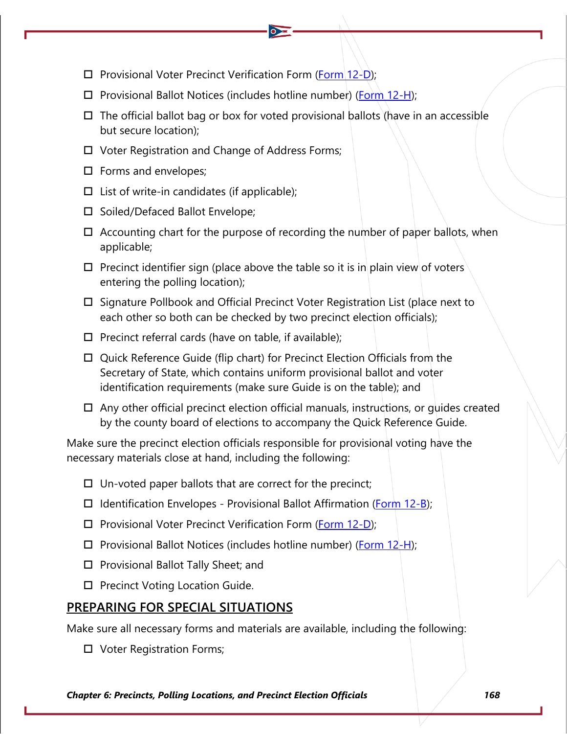- $\square$  Provisional Voter Precinct Verification Form [\(Form 12-D\)](https://www.ohiosos.gov/globalassets/elections/forms/12-D.pdf);
- $\Box$  Provisional Ballot Notices (includes hotline number) [\(Form 12-H\)](https://www.ohiosos.gov/globalassets/elections/forms/2020/12-h_bilingual.pdf);
- $\Box$  The official ballot bag or box for voted provisional ballots (have in an accessible but secure location);
- Voter Registration and Change of Address Forms;
- $\square$  Forms and envelopes;
- $\Box$  List of write-in candidates (if applicable);
- $\square$  Soiled/Defaced Ballot Envelope;
- $\Box$  Accounting chart for the purpose of recording the number of paper ballots, when applicable;
- $\Box$  Precinct identifier sign (place above the table so it is in plain view of voters entering the polling location);
- $\Box$  Signature Pollbook and Official Precinct Voter Registration List (place next to each other so both can be checked by two precinct election officials);
- $\Box$  Precinct referral cards (have on table, if available);
- Quick Reference Guide (flip chart) for Precinct Election Officials from the Secretary of State, which contains uniform provisional ballot and voter identification requirements (make sure Guide is on the table); and
- $\Box$  Any other official precinct election official manuals, instructions, or quides created by the county board of elections to accompany the Quick Reference Guide.

Make sure the precinct election officials responsible for provisional voting have the necessary materials close at hand, including the following:

- $\Box$  Un-voted paper ballots that are correct for the precinct;
- $\Box$  Identification Envelopes Provisional Ballot Affirmation [\(Form 12-B\)](https://www.ohiosos.gov/globalassets/elections/forms/12-b_english.pdf);
- $\Box$  Provisional Voter Precinct Verification Form [\(Form 12-D\)](https://www.ohiosos.gov/globalassets/elections/forms/12-D.pdf);
- $\Box$  Provisional Ballot Notices (includes hotline number) [\(Form 12-H\)](https://www.ohiosos.gov/globalassets/elections/forms/2020/12-h_bilingual.pdf);
- $\square$  Provisional Ballot Tally Sheet; and
- $\square$  Precinct Voting Location Guide.

## **PREPARING FOR SPECIAL SITUATIONS**

Make sure all necessary forms and materials are available, including the following:

□ Voter Registration Forms;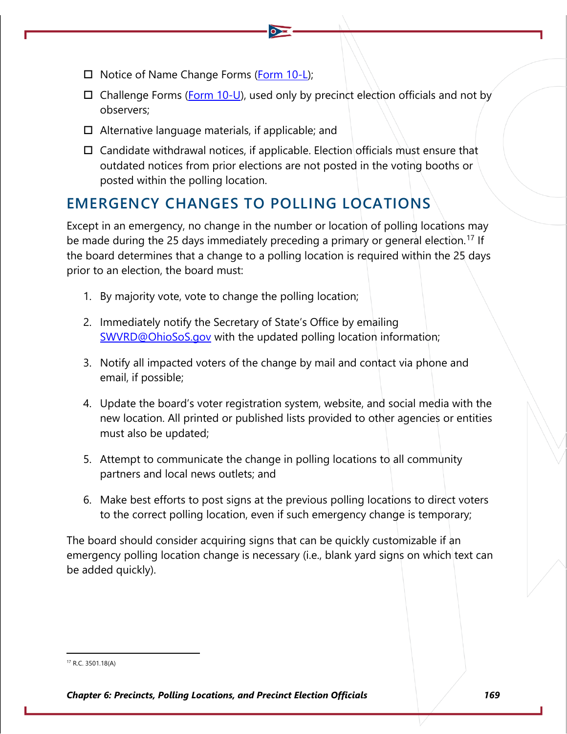- $\Box$  Notice of Name Change Forms [\(Form 10-L\)](https://www.ohiosos.gov/globalassets/elections/forms/10-L.pdf);
- $\Box$  Challenge Forms [\(Form 10-U\)](https://www.ohiosos.gov/globalassets/elections/forms/10-U.pdf), used only by precinct election officials and not by observers;
- $\Box$  Alternative language materials, if applicable; and
- $\Box$  Candidate withdrawal notices, if applicable. Election officials must ensure that outdated notices from prior elections are not posted in the voting booths or posted within the polling location.

# **EMERGENCY CHANGES TO POLLING LOCATIONS**

Except in an emergency, no change in the number or location of polling locations may be made during the 25 days immediately preceding a primary or general election.<sup>[17](#page-10-0)</sup> If the board determines that a change to a polling location is required within the 25 days prior to an election, the board must:

- 1. By majority vote, vote to change the polling location;
- 2. Immediately notify the Secretary of State's Office by emailing [SWVRD@OhioSoS.gov](mailto:swvrd@OhioSoS.gov) with the updated polling location information;
- 3. Notify all impacted voters of the change by mail and contact via phone and email, if possible;
- 4. Update the board's voter registration system, website, and social media with the new location. All printed or published lists provided to other agencies or entities must also be updated;
- 5. Attempt to communicate the change in polling locations to all community partners and local news outlets; and
- 6. Make best efforts to post signs at the previous polling locations to direct voters to the correct polling location, even if such emergency change is temporary;

The board should consider acquiring signs that can be quickly customizable if an emergency polling location change is necessary (i.e., blank yard signs on which text can be added quickly).

<span id="page-10-0"></span><sup>17</sup> R.C. 3501.18(A)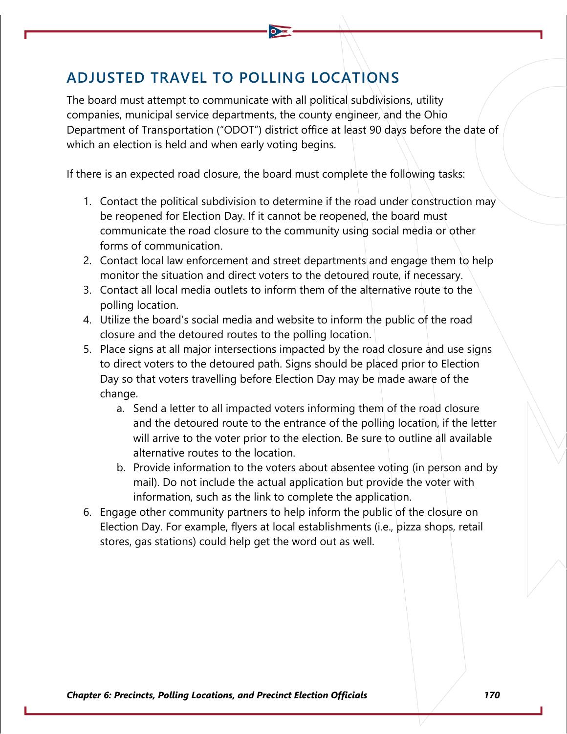# **ADJUSTED TRAVEL TO POLLING LOCATIONS**

The board must attempt to communicate with all political subdivisions, utility companies, municipal service departments, the county engineer, and the Ohio Department of Transportation ("ODOT") district office at least 90 days before the date of which an election is held and when early voting begins.

If there is an expected road closure, the board must complete the following tasks:

- 1. Contact the political subdivision to determine if the road under construction may be reopened for Election Day. If it cannot be reopened, the board must communicate the road closure to the community using social media or other forms of communication.
- 2. Contact local law enforcement and street departments and engage them to help monitor the situation and direct voters to the detoured route, if necessary.
- 3. Contact all local media outlets to inform them of the alternative route to the polling location.
- 4. Utilize the board's social media and website to inform the public of the road closure and the detoured routes to the polling location.
- 5. Place signs at all major intersections impacted by the road closure and use signs to direct voters to the detoured path. Signs should be placed prior to Election Day so that voters travelling before Election Day may be made aware of the change.
	- a. Send a letter to all impacted voters informing them of the road closure and the detoured route to the entrance of the polling location, if the letter will arrive to the voter prior to the election. Be sure to outline all available alternative routes to the location.
	- b. Provide information to the voters about absentee voting (in person and by mail). Do not include the actual application but provide the voter with information, such as the link to complete the application.
- 6. Engage other community partners to help inform the public of the closure on Election Day. For example, flyers at local establishments (i.e., pizza shops, retail stores, gas stations) could help get the word out as well.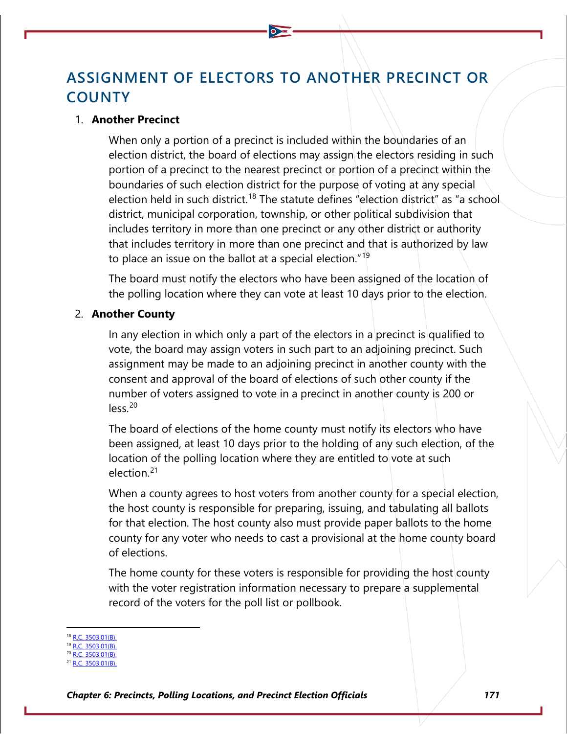# **ASSIGNMENT OF ELECTORS TO ANOTHER PRECINCT OR COUNTY**

#### 1. **Another Precinct**

When only a portion of a precinct is included within the boundaries of an election district, the board of elections may assign the electors residing in such portion of a precinct to the nearest precinct or portion of a precinct within the boundaries of such election district for the purpose of voting at any special election held in such district.<sup>[18](#page-12-0)</sup> The statute defines "election district" as "a school district, municipal corporation, township, or other political subdivision that includes territory in more than one precinct or any other district or authority that includes territory in more than one precinct and that is authorized by law to place an issue on the ballot at a special election."<sup>[19](#page-12-1)</sup>

The board must notify the electors who have been assigned of the location of the polling location where they can vote at least 10 days prior to the election.

#### 2. **Another County**

In any election in which only a part of the electors in a precinct is qualified to vote, the board may assign voters in such part to an adjoining precinct. Such assignment may be made to an adjoining precinct in another county with the consent and approval of the board of elections of such other county if the number of voters assigned to vote in a precinct in another county is 200 or  $less<sup>20</sup>$  $less<sup>20</sup>$  $less<sup>20</sup>$ 

The board of elections of the home county must notify its electors who have been assigned, at least 10 days prior to the holding of any such election, of the location of the polling location where they are entitled to vote at such election.[21](#page-12-3)

When a county agrees to host voters from another county for a special election, the host county is responsible for preparing, issuing, and tabulating all ballots for that election. The host county also must provide paper ballots to the home county for any voter who needs to cast a provisional at the home county board of elections.

The home county for these voters is responsible for providing the host county with the voter registration information necessary to prepare a supplemental record of the voters for the poll list or pollbook.

<span id="page-12-0"></span><sup>18</sup> [R.C. 3503.01\(B\).](http://codes.ohio.gov/orc/3503.01)

<span id="page-12-1"></span>[R.C. 3503.01\(B\).](http://codes.ohio.gov/orc/3503.01) [R.C. 3503.01\(B\).](http://codes.ohio.gov/orc/3503.01)

<span id="page-12-3"></span><span id="page-12-2"></span> $C. 3503.01(B)$ .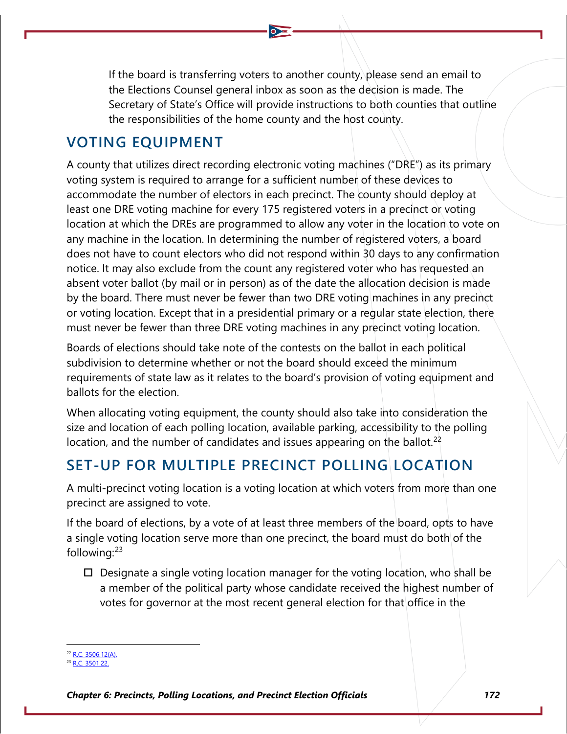If the board is transferring voters to another county, please send an email to the Elections Counsel general inbox as soon as the decision is made. The Secretary of State's Office will provide instructions to both counties that outline the responsibilities of the home county and the host county.

## **VOTING EQUIPMENT**

A county that utilizes direct recording electronic voting machines ("DRE") as its primary voting system is required to arrange for a sufficient number of these devices to accommodate the number of electors in each precinct. The county should deploy at least one DRE voting machine for every 175 registered voters in a precinct or voting location at which the DREs are programmed to allow any voter in the location to vote on any machine in the location. In determining the number of registered voters, a board does not have to count electors who did not respond within 30 days to any confirmation notice. It may also exclude from the count any registered voter who has requested an absent voter ballot (by mail or in person) as of the date the allocation decision is made by the board. There must never be fewer than two DRE voting machines in any precinct or voting location. Except that in a presidential primary or a regular state election, there must never be fewer than three DRE voting machines in any precinct voting location.

Boards of elections should take note of the contests on the ballot in each political subdivision to determine whether or not the board should exceed the minimum requirements of state law as it relates to the board's provision of voting equipment and ballots for the election.

When allocating voting equipment, the county should also take into consideration the size and location of each polling location, available parking, accessibility to the polling location, and the number of candidates and issues appearing on the ballot.<sup>[22](#page-13-0)</sup>

# **SET-UP FOR MULTIPLE PRECINCT POLLING LOCATION**

A multi-precinct voting location is a voting location at which voters from more than one precinct are assigned to vote.

If the board of elections, by a vote of at least three members of the board, opts to have a single voting location serve more than one precinct, the board must do both of the following: $23$ 

 $\Box$  Designate a single voting location manager for the voting location, who shall be a member of the political party whose candidate received the highest number of votes for governor at the most recent general election for that office in the

 $22$  [R.C. 3506.12\(A\).](http://codes.ohio.gov/orc/3506.12)

<span id="page-13-1"></span><span id="page-13-0"></span><sup>23</sup> [R.C. 3501.22.](http://codes.ohio.gov/orc/3501.22)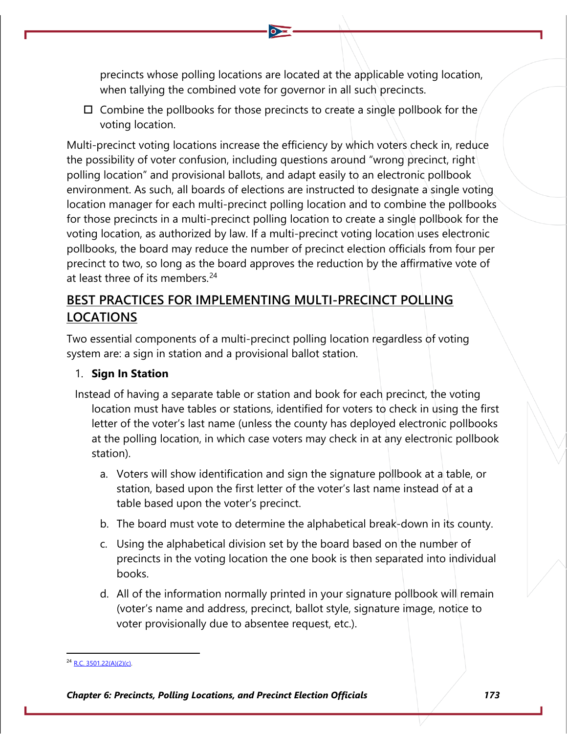precincts whose polling locations are located at the applicable voting location, when tallying the combined vote for governor in all such precincts.

 $\Box$  Combine the pollbooks for those precincts to create a single pollbook for the voting location.

Multi-precinct voting locations increase the efficiency by which voters check in, reduce the possibility of voter confusion, including questions around "wrong precinct, right polling location" and provisional ballots, and adapt easily to an electronic pollbook environment. As such, all boards of elections are instructed to designate a single voting location manager for each multi-precinct polling location and to combine the pollbooks for those precincts in a multi-precinct polling location to create a single pollbook for the voting location, as authorized by law. If a multi-precinct voting location uses electronic pollbooks, the board may reduce the number of precinct election officials from four per precinct to two, so long as the board approves the reduction by the affirmative vote of at least three of its members.<sup>24</sup>

## **BEST PRACTICES FOR IMPLEMENTING MULTI-PRECINCT POLLING LOCATIONS**

Two essential components of a multi-precinct polling location regardless of voting system are: a sign in station and a provisional ballot station.

### 1. **Sign In Station**

- Instead of having a separate table or station and book for each precinct, the voting location must have tables or stations, identified for voters to check in using the first letter of the voter's last name (unless the county has deployed electronic pollbooks at the polling location, in which case voters may check in at any electronic pollbook station).
	- a. Voters will show identification and sign the signature pollbook at a table, or station, based upon the first letter of the voter's last name instead of at a table based upon the voter's precinct.
	- b. The board must vote to determine the alphabetical break-down in its county.
	- c. Using the alphabetical division set by the board based on the number of precincts in the voting location the one book is then separated into individual books.
	- d. All of the information normally printed in your signature pollbook will remain (voter's name and address, precinct, ballot style, signature image, notice to voter provisionally due to absentee request, etc.).

<span id="page-14-0"></span> $R.C. 3501.22(A)(2)(c)$ .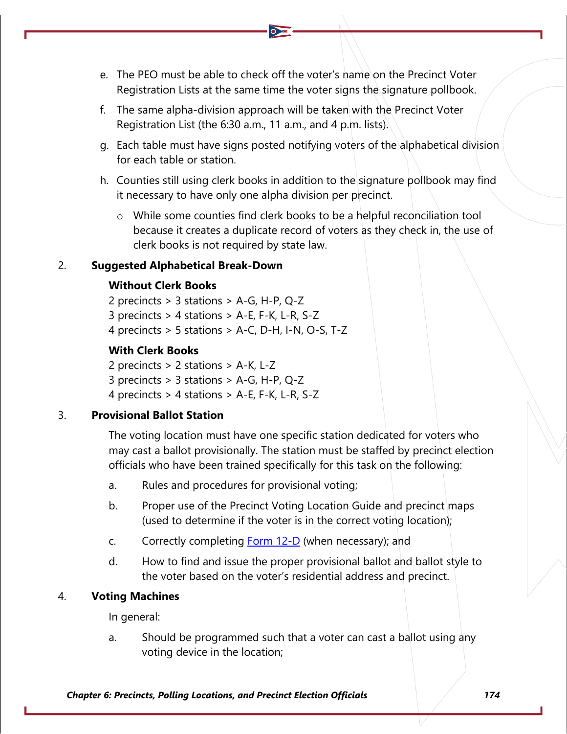- e. The PEO must be able to check off the voter's name on the Precinct Voter Registration Lists at the same time the voter signs the signature pollbook.
- f. The same alpha-division approach will be taken with the Precinct Voter Registration List (the 6:30 a.m., 11 a.m., and 4 p.m. lists).
- g. Each table must have signs posted notifying voters of the alphabetical division for each table or station.
- h. Counties still using clerk books in addition to the signature pollbook may find it necessary to have only one alpha division per precinct.
	- o While some counties find clerk books to be a helpful reconciliation tool because it creates a duplicate record of voters as they check in, the use of clerk books is not required by state law.

### 2. **Suggested Alphabetical Break-Down**

### **Without Clerk Books**

2 precincts > 3 stations > A-G, H-P, Q-Z 3 precincts > 4 stations > A-E, F-K, L-R, S-Z 4 precincts > 5 stations > A-C, D-H, I-N, O-S, T-Z

### **With Clerk Books**

2 precincts > 2 stations > A-K, L-Z 3 precincts > 3 stations > A-G, H-P, Q-Z 4 precincts > 4 stations > A-E, F-K, L-R, S-Z

### 3. **Provisional Ballot Station**

The voting location must have one specific station dedicated for voters who may cast a ballot provisionally. The station must be staffed by precinct election officials who have been trained specifically for this task on the following:

- a. Rules and procedures for provisional voting;
- b. Proper use of the Precinct Voting Location Guide and precinct maps (used to determine if the voter is in the correct voting location);
- c. Correctly completing **Form 12-D** (when necessary); and
- d. How to find and issue the proper provisional ballot and ballot style to the voter based on the voter's residential address and precinct.

### 4. **Voting Machines**

In general:

a. Should be programmed such that a voter can cast a ballot using any voting device in the location;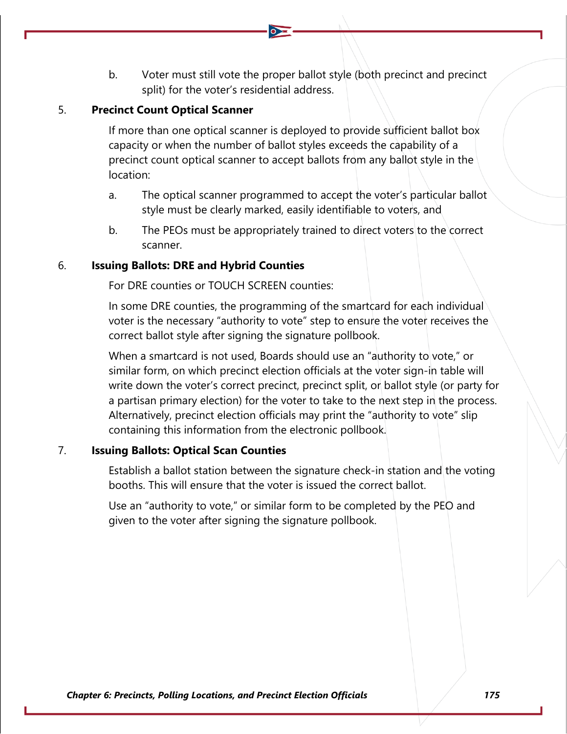b. Voter must still vote the proper ballot style (both precinct and precinct split) for the voter's residential address.

### 5. **Precinct Count Optical Scanner**

If more than one optical scanner is deployed to provide sufficient ballot box capacity or when the number of ballot styles exceeds the capability of a precinct count optical scanner to accept ballots from any ballot style in the location:

- a. The optical scanner programmed to accept the voter's particular ballot style must be clearly marked, easily identifiable to voters, and
- b. The PEOs must be appropriately trained to direct voters to the correct scanner.

### 6. **Issuing Ballots: DRE and Hybrid Counties**

For DRE counties or TOUCH SCREEN counties:

In some DRE counties, the programming of the smartcard for each individual voter is the necessary "authority to vote" step to ensure the voter receives the correct ballot style after signing the signature pollbook.

When a smartcard is not used, Boards should use an "authority to vote," or similar form, on which precinct election officials at the voter sign-in table will write down the voter's correct precinct, precinct split, or ballot style (or party for a partisan primary election) for the voter to take to the next step in the process. Alternatively, precinct election officials may print the "authority to vote" slip containing this information from the electronic pollbook.

### 7. **Issuing Ballots: Optical Scan Counties**

Establish a ballot station between the signature check-in station and the voting booths. This will ensure that the voter is issued the correct ballot.

Use an "authority to vote," or similar form to be completed by the PEO and given to the voter after signing the signature pollbook.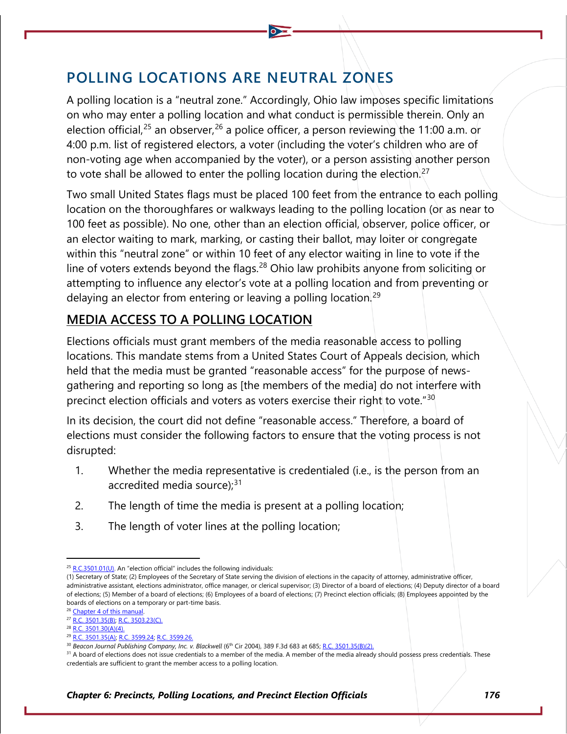# **POLLING LOCATIONS ARE NEUTRAL ZONES**

A polling location is a "neutral zone." Accordingly, Ohio law imposes specific limitations on who may enter a polling location and what conduct is permissible therein. Only an election official,<sup>[25](#page-17-0)</sup> an observer,<sup>[26](#page-17-1)</sup> a police officer, a person reviewing the 11:00 a.m. or 4:00 p.m. list of registered electors, a voter (including the voter's children who are of non-voting age when accompanied by the voter), or a person assisting another person to vote shall be allowed to enter the polling location during the election.<sup>[27](#page-17-2)</sup>

Two small United States flags must be placed 100 feet from the entrance to each polling location on the thoroughfares or walkways leading to the polling location (or as near to 100 feet as possible). No one, other than an election official, observer, police officer, or an elector waiting to mark, marking, or casting their ballot, may loiter or congregate within this "neutral zone" or within 10 feet of any elector waiting in line to vote if the line of voters extends beyond the flags.<sup>[28](#page-17-3)</sup> Ohio law prohibits anyone from soliciting or attempting to influence any elector's vote at a polling location and from preventing or delaying an elector from entering or leaving a polling location.<sup>[29](#page-17-4)</sup>

## **MEDIA ACCESS TO A POLLING LOCATION**

Elections officials must grant members of the media reasonable access to polling locations. This mandate stems from a United States Court of Appeals decision, which held that the media must be granted "reasonable access" for the purpose of newsgathering and reporting so long as [the members of the media] do not interfere with precinct election officials and voters as voters exercise their right to vote." $30$ 

In its decision, the court did not define "reasonable access." Therefore, a board of elections must consider the following factors to ensure that the voting process is not disrupted:

- 1. Whether the media representative is credentialed (i.e., is the person from an accredited media source); $31$
- 2. The length of time the media is present at a polling location;
- 3. The length of voter lines at the polling location;

<sup>26</sup> Chapter 4 of this manual.

 $25$  [R.C.3501.01\(U\).](http://codes.ohio.gov/orc/3501.01) An "election official" includes the following individuals:

<span id="page-17-0"></span><sup>(1)</sup> Secretary of State; (2) Employees of the Secretary of State serving the division of elections in the capacity of attorney, administrative officer, administrative assistant, elections administrator, office manager, or clerical supervisor; (3) Director of a board of elections; (4) Deputy director of a board of elections; (5) Member of a board of elections; (6) Employees of a board of elections; (7) Precinct election officials; (8) Employees appointed by the boards of elections on a temporary or part-time basis.

<span id="page-17-2"></span><span id="page-17-1"></span><sup>27</sup> [R.C. 3501.35\(B\);](http://codes.ohio.gov/orc/3501.35) [R.C. 3503.23\(C\).](http://codes.ohio.gov/orc/3503.23)

<span id="page-17-3"></span><sup>&</sup>lt;sup>28</sup> [R.C. 3501.30\(A\)\(4\).](http://codes.ohio.gov/orc/3501.30)

<sup>29</sup> [R.C. 3501.35\(A\);](http://codes.ohio.gov/orc/3501.35) [R.C. 3599.24;](http://codes.ohio.gov/orc/3599.24) [R.C. 3599.26.](http://codes.ohio.gov/orc/3599.26)

<sup>30</sup> *Beacon Journal Publishing Company, Inc. v. Blackwell* (6th Cir 2004), 389 F.3d 683 at 685[; R.C. 3501.35\(B\)\(2\).](http://codes.ohio.gov/orc/3501.35)

<span id="page-17-6"></span><span id="page-17-5"></span><span id="page-17-4"></span><sup>&</sup>lt;sup>31</sup> A board of elections does not issue credentials to a member of the media. A member of the media already should possess press credentials. These credentials are sufficient to grant the member access to a polling location.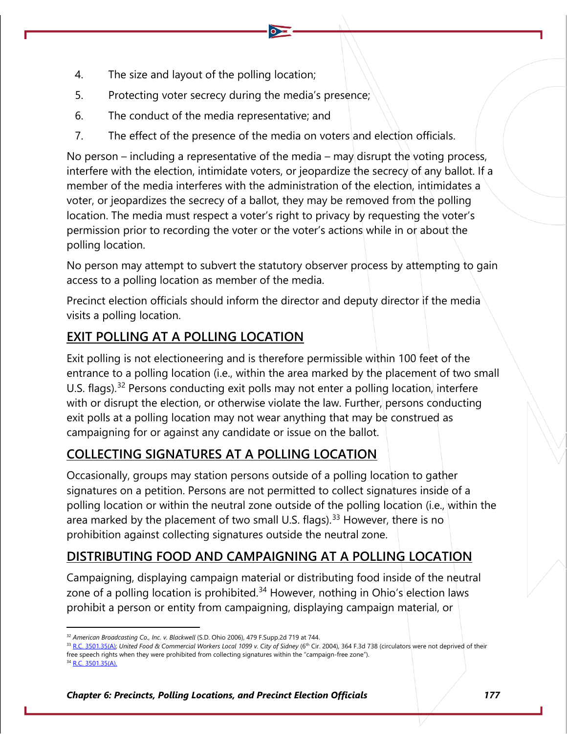- 4. The size and layout of the polling location;
- 5. Protecting voter secrecy during the media's presence;
- 6. The conduct of the media representative; and
- 7. The effect of the presence of the media on voters and election officials.

No person – including a representative of the media – may disrupt the voting process, interfere with the election, intimidate voters, or jeopardize the secrecy of any ballot. If a member of the media interferes with the administration of the election, intimidates a voter, or jeopardizes the secrecy of a ballot, they may be removed from the polling location. The media must respect a voter's right to privacy by requesting the voter's permission prior to recording the voter or the voter's actions while in or about the polling location.

No person may attempt to subvert the statutory observer process by attempting to gain access to a polling location as member of the media.

Precinct election officials should inform the director and deputy director if the media visits a polling location.

## **EXIT POLLING AT A POLLING LOCATION**

Exit polling is not electioneering and is therefore permissible within 100 feet of the entrance to a polling location (i.e., within the area marked by the placement of two small U.S. flags).<sup>[32](#page-18-0)</sup> Persons conducting exit polls may not enter a polling location, interfere with or disrupt the election, or otherwise violate the law. Further, persons conducting exit polls at a polling location may not wear anything that may be construed as campaigning for or against any candidate or issue on the ballot.

## **COLLECTING SIGNATURES AT A POLLING LOCATION**

Occasionally, groups may station persons outside of a polling location to gather signatures on a petition. Persons are not permitted to collect signatures inside of a polling location or within the neutral zone outside of the polling location (i.e., within the area marked by the placement of two small U.S. flags).<sup>[33](#page-18-1)</sup> However, there is no prohibition against collecting signatures outside the neutral zone.

## **DISTRIBUTING FOOD AND CAMPAIGNING AT A POLLING LOCATION**

Campaigning, displaying campaign material or distributing food inside of the neutral zone of a polling location is prohibited.<sup>[34](#page-18-2)</sup> However, nothing in Ohio's election laws prohibit a person or entity from campaigning, displaying campaign material, or

<span id="page-18-1"></span>33 [R.C. 3501.35\(A\);](http://codes.ohio.gov/orc/3501.35) United Food & Commercial Workers Local 1099 v. City of Sidney (6<sup>th</sup> Cir. 2004), 364 F.3d 738 (circulators were not deprived of their free speech rights when they were prohibited from collecting signatures within the "campaign-free zone").

<span id="page-18-0"></span><sup>32</sup> *American Broadcasting Co., Inc. v. Blackwell* (S.D. Ohio 2006), 479 F.Supp.2d 719 at 744.

<span id="page-18-2"></span><sup>&</sup>lt;sup>4</sup> [R.C. 3501.35\(A\).](http://codes.ohio.gov/orc/3501.35)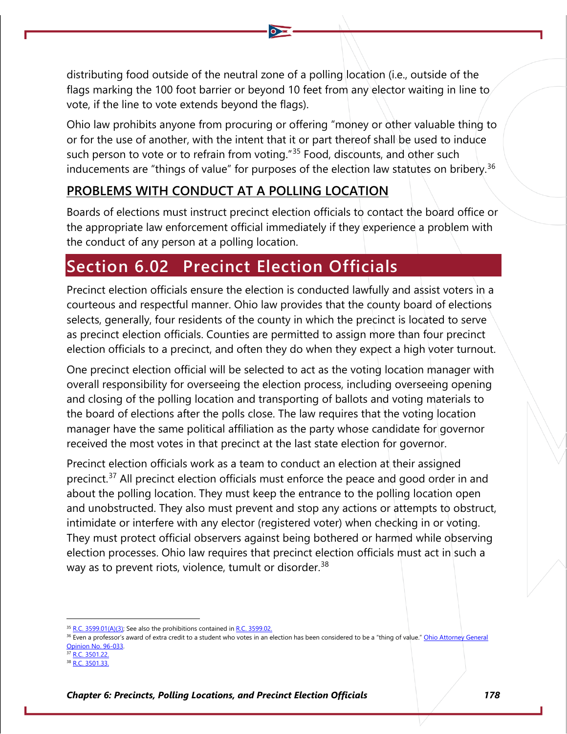distributing food outside of the neutral zone of a polling location (i.e., outside of the flags marking the 100 foot barrier or beyond 10 feet from any elector waiting in line to vote, if the line to vote extends beyond the flags).

Ohio law prohibits anyone from procuring or offering "money or other valuable thing to or for the use of another, with the intent that it or part thereof shall be used to induce such person to vote or to refrain from voting.<sup>"[35](#page-19-0)</sup> Food, discounts, and other such inducements are "things of value" for purposes of the election law statutes on bribery.<sup>[36](#page-19-1)</sup>

## **PROBLEMS WITH CONDUCT AT A POLLING LOCATION**

Boards of elections must instruct precinct election officials to contact the board office or the appropriate law enforcement official immediately if they experience a problem with the conduct of any person at a polling location.

# **Section 6.02 Precinct Election Officials**

Precinct election officials ensure the election is conducted lawfully and assist voters in a courteous and respectful manner. Ohio law provides that the county board of elections selects, generally, four residents of the county in which the precinct is located to serve as precinct election officials. Counties are permitted to assign more than four precinct election officials to a precinct, and often they do when they expect a high voter turnout.

One precinct election official will be selected to act as the voting location manager with overall responsibility for overseeing the election process, including overseeing opening and closing of the polling location and transporting of ballots and voting materials to the board of elections after the polls close. The law requires that the voting location manager have the same political affiliation as the party whose candidate for governor received the most votes in that precinct at the last state election for governor.

Precinct election officials work as a team to conduct an election at their assigned precinct.<sup>[37](#page-19-2)</sup> All precinct election officials must enforce the peace and good order in and about the polling location. They must keep the entrance to the polling location open and unobstructed. They also must prevent and stop any actions or attempts to obstruct, intimidate or interfere with any elector (registered voter) when checking in or voting. They must protect official observers against being bothered or harmed while observing election processes. Ohio law requires that precinct election officials must act in such a way as to prevent riots, violence, tumult or disorder.<sup>[38](#page-19-3)</sup>

<span id="page-19-1"></span><span id="page-19-0"></span> $35$  [R.C. 3599.01\(A\)\(3\);](http://codes.ohio.gov/orc/3599.01) See also the prohibitions contained in [R.C. 3599.02.](http://codes.ohio.gov/orc/3599.02)

<sup>&</sup>lt;sup>36</sup> Even a professor's award of extra credit to a student who votes in an election has been considered to be a "thing of value." [Ohio Attorney](https://www.ohioattorneygeneral.gov/getattachment/0ce60a7d-f979-4504-b712-c6542b6f65d7/1996-033.aspx) General [Opinion No. 96-033.](https://www.ohioattorneygeneral.gov/getattachment/0ce60a7d-f979-4504-b712-c6542b6f65d7/1996-033.aspx)

<span id="page-19-2"></span> $7 R.C. 3501.22.$  $7 R.C. 3501.22.$ 

<span id="page-19-3"></span><sup>38</sup> [R.C. 3501.33.](http://codes.ohio.gov/orc/3501.33)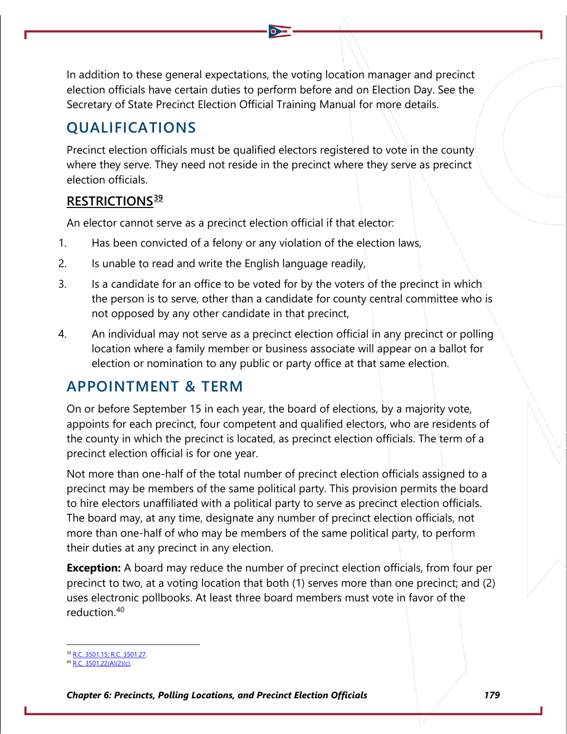In addition to these general expectations, the voting location manager and precinct election officials have certain duties to perform before and on Election Day. See the Secretary of State Precinct Election Official Training Manual for more details.

## **QUALIFICATIONS**

Precinct election officials must be qualified electors registered to vote in the county where they serve. They need not reside in the precinct where they serve as precinct election officials.

### **RESTRICTIONS[39](#page-20-0)**

An elector cannot serve as a precinct election official if that elector:

- 1. Has been convicted of a felony or any violation of the election laws,
- 2. Is unable to read and write the English language readily,
- 3. Is a candidate for an office to be voted for by the voters of the precinct in which the person is to serve, other than a candidate for county central committee who is not opposed by any other candidate in that precinct,
- 4. An individual may not serve as a precinct election official in any precinct or polling location where a family member or business associate will appear on a ballot for election or nomination to any public or party office at that same election.

## **APPOINTMENT & TERM**

On or before September 15 in each year, the board of elections, by a majority vote, appoints for each precinct, four competent and qualified electors, who are residents of the county in which the precinct is located, as precinct election officials. The term of a precinct election official is for one year.

Not more than one-half of the total number of precinct election officials assigned to a precinct may be members of the same political party. This provision permits the board to hire electors unaffiliated with a political party to serve as precinct election officials. The board may, at any time, designate any number of precinct election officials, not more than one-half of who may be members of the same political party, to perform their duties at any precinct in any election.

**Exception:** A board may reduce the number of precinct election officials, from four per precinct to two, at a voting location that both (1) serves more than one precinct; and (2) uses electronic pollbooks. At least three board members must vote in favor of the reduction.[40](#page-20-1)

<sup>39</sup> [R.C. 3501.15;](http://codes.ohio.gov/orc/3501.15) [R.C. 3501.27.](http://codes.ohio.gov/orc/3501.27)

<span id="page-20-1"></span><span id="page-20-0"></span><sup>40</sup> [R.C. 3501.22\(A\)\(2\)\(c\).](https://codes.ohio.gov/ohio-revised-code/section-3501.22)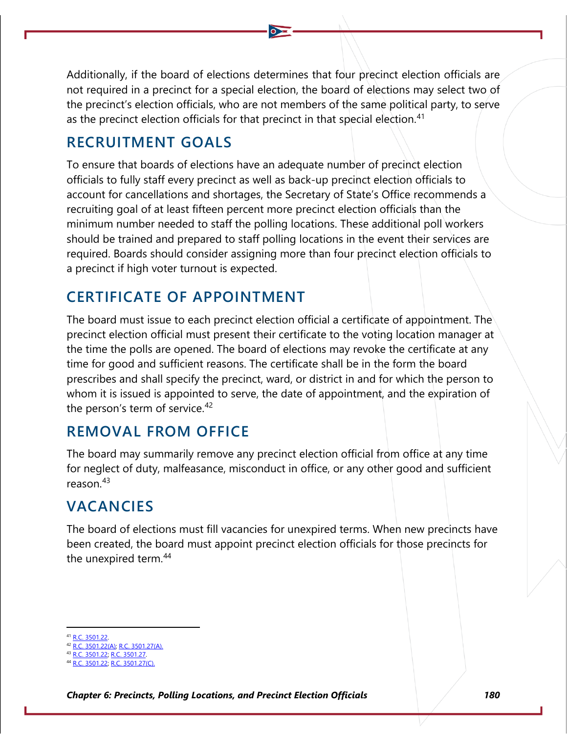Additionally, if the board of elections determines that four precinct election officials are not required in a precinct for a special election, the board of elections may select two of the precinct's election officials, who are not members of the same political party, to serve as the precinct election officials for that precinct in that special election.<sup>[41](#page-21-0)</sup>

# **RECRUITMENT GOALS**

To ensure that boards of elections have an adequate number of precinct election officials to fully staff every precinct as well as back-up precinct election officials to account for cancellations and shortages, the Secretary of State's Office recommends a recruiting goal of at least fifteen percent more precinct election officials than the minimum number needed to staff the polling locations. These additional poll workers should be trained and prepared to staff polling locations in the event their services are required. Boards should consider assigning more than four precinct election officials to a precinct if high voter turnout is expected.

# **CERTIFICATE OF APPOINTMENT**

The board must issue to each precinct election official a certificate of appointment. The precinct election official must present their certificate to the voting location manager at the time the polls are opened. The board of elections may revoke the certificate at any time for good and sufficient reasons. The certificate shall be in the form the board prescribes and shall specify the precinct, ward, or district in and for which the person to whom it is issued is appointed to serve, the date of appointment, and the expiration of the person's term of service.<sup>[42](#page-21-1)</sup>

## **REMOVAL FROM OFFICE**

The board may summarily remove any precinct election official from office at any time for neglect of duty, malfeasance, misconduct in office, or any other good and sufficient reason.[43](#page-21-2)

# **VACANCIES**

The board of elections must fill vacancies for unexpired terms. When new precincts have been created, the board must appoint precinct election officials for those precincts for the unexpired term.<sup>[44](#page-21-3)</sup>

<span id="page-21-0"></span>[R.C. 3501.22.](http://codes.ohio.gov/orc/3501.22)

<span id="page-21-1"></span><sup>42</sup> [R.C. 3501.22\(A\);](http://codes.ohio.gov/orc/3501.22) [R.C. 3501.27\(A\).](http://codes.ohio.gov/orc/3501.27)

<sup>43</sup> [R.C. 3501.22;](http://codes.ohio.gov/orc/3501.22) [R.C. 3501.27.](http://codes.ohio.gov/orc/3501.27)

<span id="page-21-3"></span><span id="page-21-2"></span><sup>. 3501.22;</sup> [R.C. 3501.27\(C\).](http://codes.ohio.gov/orc/3501.27)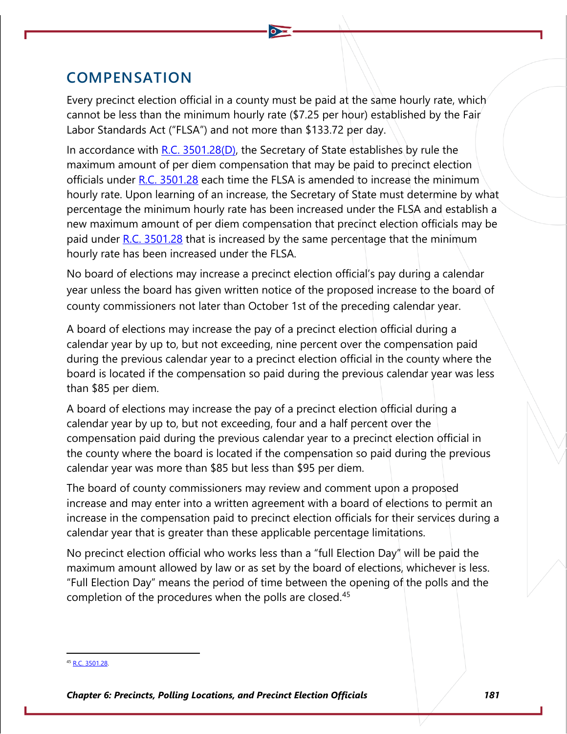## **COMPENSATION**

Every precinct election official in a county must be paid at the same hourly rate, which cannot be less than the minimum hourly rate (\$7.25 per hour) established by the Fair Labor Standards Act ("FLSA") and not more than \$133.72 per day.

In accordance with [R.C. 3501.28\(D\),](http://codes.ohio.gov/orc/3501.28) the Secretary of State establishes by rule the maximum amount of per diem compensation that may be paid to precinct election officials under [R.C. 3501.28](http://codes.ohio.gov/orc/3501.28) each time the FLSA is amended to increase the minimum hourly rate. Upon learning of an increase, the Secretary of State must determine by what percentage the minimum hourly rate has been increased under the FLSA and establish a new maximum amount of per diem compensation that precinct election officials may be paid under  $R.C. 3501.28$  that is increased by the same percentage that the minimum hourly rate has been increased under the FLSA.

No board of elections may increase a precinct election official's pay during a calendar year unless the board has given written notice of the proposed increase to the board of county commissioners not later than October 1st of the preceding calendar year.

A board of elections may increase the pay of a precinct election official during a calendar year by up to, but not exceeding, nine percent over the compensation paid during the previous calendar year to a precinct election official in the county where the board is located if the compensation so paid during the previous calendar year was less than \$85 per diem.

A board of elections may increase the pay of a precinct election official during a calendar year by up to, but not exceeding, four and a half percent over the compensation paid during the previous calendar year to a precinct election official in the county where the board is located if the compensation so paid during the previous calendar year was more than \$85 but less than \$95 per diem.

The board of county commissioners may review and comment upon a proposed increase and may enter into a written agreement with a board of elections to permit an increase in the compensation paid to precinct election officials for their services during a calendar year that is greater than these applicable percentage limitations.

No precinct election official who works less than a "full Election Day" will be paid the maximum amount allowed by law or as set by the board of elections, whichever is less. "Full Election Day" means the period of time between the opening of the polls and the completion of the procedures when the polls are closed.<sup>[45](#page-22-0)</sup>

<span id="page-22-0"></span><sup>&</sup>lt;sup>45</sup> [R.C. 3501.28.](http://codes.ohio.gov/orc/3501.28)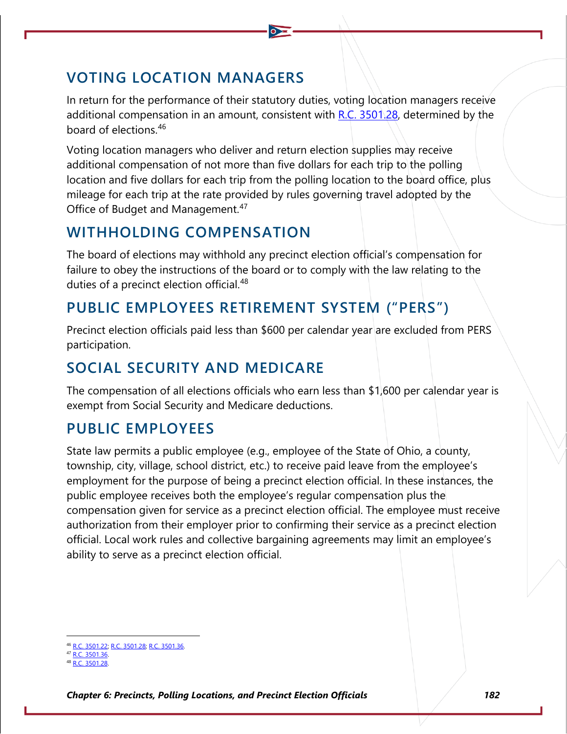# **VOTING LOCATION MANAGERS**

In return for the performance of their statutory duties, voting location managers receive additional compensation in an amount, consistent with R.C.  $3501.28$ , determined by the board of elections.[46](#page-23-0)

Voting location managers who deliver and return election supplies may receive additional compensation of not more than five dollars for each trip to the polling location and five dollars for each trip from the polling location to the board office, plus mileage for each trip at the rate provided by rules governing travel adopted by the Office of Budget and Management.<sup>[47](#page-23-1)</sup>

# **WITHHOLDING COMPENSATION**

The board of elections may withhold any precinct election official's compensation for failure to obey the instructions of the board or to comply with the law relating to the duties of a precinct election official.<sup>[48](#page-23-2)</sup>

# **PUBLIC EMPLOYEES RETIREMENT SYSTEM ("PERS")**

Precinct election officials paid less than \$600 per calendar year are excluded from PERS participation.

# **SOCIAL SECURITY AND MEDICARE**

The compensation of all elections officials who earn less than \$1,600 per calendar year is exempt from Social Security and Medicare deductions.

# **PUBLIC EMPLOYEES**

State law permits a public employee (e.g., employee of the State of Ohio, a county, township, city, village, school district, etc.) to receive paid leave from the employee's employment for the purpose of being a precinct election official. In these instances, the public employee receives both the employee's regular compensation plus the compensation given for service as a precinct election official. The employee must receive authorization from their employer prior to confirming their service as a precinct election official. Local work rules and collective bargaining agreements may limit an employee's ability to serve as a precinct election official.

[R.C. 3501.22;](http://codes.ohio.gov/orc/3501.22) [R.C. 3501.28;](http://codes.ohio.gov/orc/3501.28) [R.C. 3501.36.](http://codes.ohio.gov/orc/3501.36)

<span id="page-23-1"></span><span id="page-23-0"></span> $R \cap 3501.36$ 

<span id="page-23-2"></span><sup>48</sup> [R.C. 3501.28.](http://codes.ohio.gov/orc/3501.28)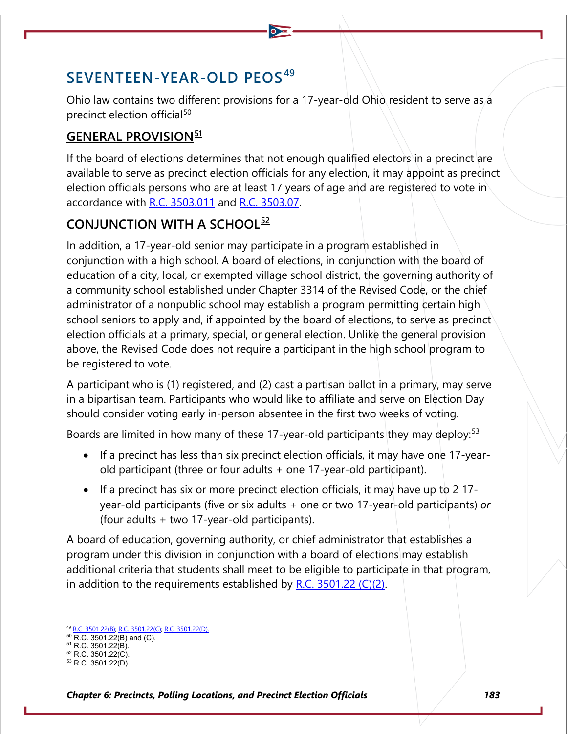# **SEVENTEEN-YEAR-OLD PEOS[49](#page-24-0)**

Ohio law contains two different provisions for a 17-year-old Ohio resident to serve as a precinct election official<sup>[50](#page-24-1)</sup>

## **GENERAL PROVISION[51](#page-24-2)**

If the board of elections determines that not enough qualified electors in a precinct are available to serve as precinct election officials for any election, it may appoint as precinct election officials persons who are at least 17 years of age and are registered to vote in accordance with [R.C. 3503.011](http://codes.ohio.gov/orc/3503.011) and [R.C. 3503.07.](http://codes.ohio.gov/orc/3503.07)

## **CONJUNCTION WITH A SCHOOL[52](#page-24-3)**

In addition, a 17-year-old senior may participate in a program established in conjunction with a high school. A board of elections, in conjunction with the board of education of a city, local, or exempted village school district, the governing authority of a community school established under Chapter 3314 of the Revised Code, or the chief administrator of a nonpublic school may establish a program permitting certain high school seniors to apply and, if appointed by the board of elections, to serve as precinct election officials at a primary, special, or general election. Unlike the general provision above, the Revised Code does not require a participant in the high school program to be registered to vote.

A participant who is (1) registered, and (2) cast a partisan ballot in a primary, may serve in a bipartisan team. Participants who would like to affiliate and serve on Election Day should consider voting early in-person absentee in the first two weeks of voting.

Boards are limited in how many of these 17-year-old participants they may deploy:<sup>[53](#page-24-4)</sup>

- If a precinct has less than six precinct election officials, it may have one 17-yearold participant (three or four adults + one 17-year-old participant).
- If a precinct has six or more precinct election officials, it may have up to 2 17 year-old participants (five or six adults + one or two 17-year-old participants) *or* (four adults + two 17-year-old participants).

A board of education, governing authority, or chief administrator that establishes a program under this division in conjunction with a board of elections may establish additional criteria that students shall meet to be eligible to participate in that program, in addition to the requirements established by R.C.  $3501.22$  (C)(2).

<span id="page-24-0"></span><sup>&</sup>lt;sup>2</sup> [R.C. 3501.22\(B\); R.C. 3501.22\(C\);](http://codes.ohio.gov/orc/3501.22) R.C. [3501.22\(D\).](http://codes.ohio.gov/orc/3501.22)

<span id="page-24-1"></span> $50$  R.C. 3501.22(B) and (C).

<span id="page-24-2"></span><sup>&</sup>lt;sup>51</sup> R.C. 3501.22(B). <sup>52</sup> R.C. 3501.22(C).

<span id="page-24-4"></span><span id="page-24-3"></span> $53$  R.C. 3501.22(D).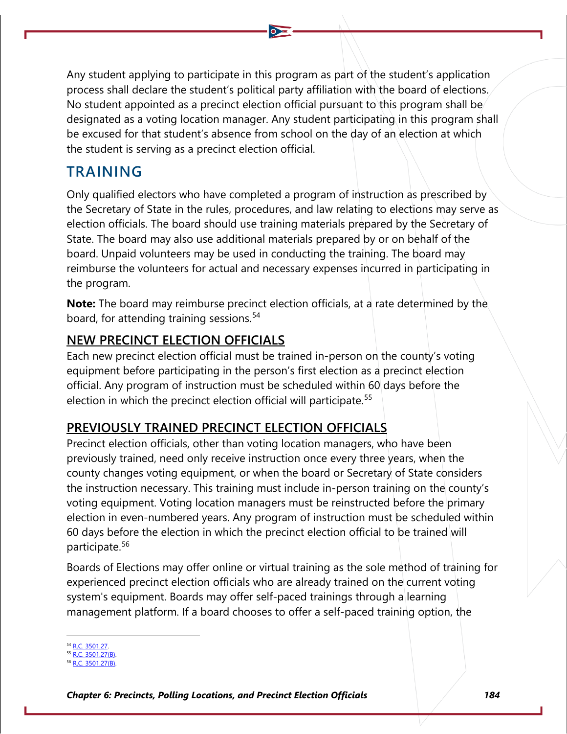Any student applying to participate in this program as part of the student's application process shall declare the student's political party affiliation with the board of elections. No student appointed as a precinct election official pursuant to this program shall be designated as a voting location manager. Any student participating in this program shall be excused for that student's absence from school on the day of an election at which the student is serving as a precinct election official.

## **TRAINING**

Only qualified electors who have completed a program of instruction as prescribed by the Secretary of State in the rules, procedures, and law relating to elections may serve as election officials. The board should use training materials prepared by the Secretary of State. The board may also use additional materials prepared by or on behalf of the board. Unpaid volunteers may be used in conducting the training. The board may reimburse the volunteers for actual and necessary expenses incurred in participating in the program.

**Note:** The board may reimburse precinct election officials, at a rate determined by the board, for attending training sessions.<sup>[54](#page-25-0)</sup>

## **NEW PRECINCT ELECTION OFFICIALS**

Each new precinct election official must be trained in-person on the county's voting equipment before participating in the person's first election as a precinct election official. Any program of instruction must be scheduled within 60 days before the election in which the precinct election official will participate.<sup>[55](#page-25-1)</sup>

## **PREVIOUSLY TRAINED PRECINCT ELECTION OFFICIALS**

Precinct election officials, other than voting location managers, who have been previously trained, need only receive instruction once every three years, when the county changes voting equipment, or when the board or Secretary of State considers the instruction necessary. This training must include in-person training on the county's voting equipment. Voting location managers must be reinstructed before the primary election in even-numbered years. Any program of instruction must be scheduled within 60 days before the election in which the precinct election official to be trained will participate.[56](#page-25-2)

Boards of Elections may offer online or virtual training as the sole method of training for experienced precinct election officials who are already trained on the current voting system's equipment. Boards may offer self-paced trainings through a learning management platform. If a board chooses to offer a self-paced training option, the

<span id="page-25-0"></span>R.C. 3501.27

<span id="page-25-2"></span><span id="page-25-1"></span><sup>55</sup> [R.C. 3501.27\(B\).](http://codes.ohio.gov/orc/3501.27)  $C. 3501.27(B)$ .

*Chapter 6: Precincts, Polling Locations, and Precinct Election Officials 184*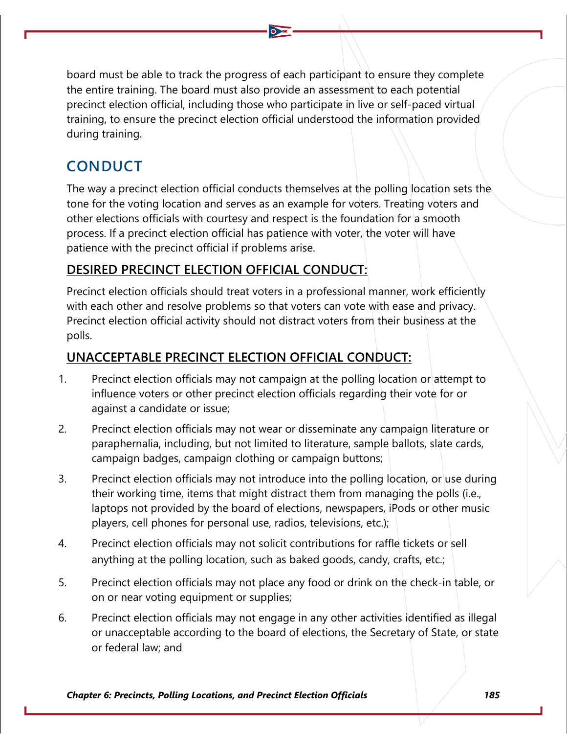board must be able to track the progress of each participant to ensure they complete the entire training. The board must also provide an assessment to each potential precinct election official, including those who participate in live or self-paced virtual training, to ensure the precinct election official understood the information provided during training.

# **CONDUCT**

The way a precinct election official conducts themselves at the polling location sets the tone for the voting location and serves as an example for voters. Treating voters and other elections officials with courtesy and respect is the foundation for a smooth process. If a precinct election official has patience with voter, the voter will have patience with the precinct official if problems arise.

## **DESIRED PRECINCT ELECTION OFFICIAL CONDUCT:**

Precinct election officials should treat voters in a professional manner, work efficiently with each other and resolve problems so that voters can vote with ease and privacy. Precinct election official activity should not distract voters from their business at the polls.

## **UNACCEPTABLE PRECINCT ELECTION OFFICIAL CONDUCT:**

- 1. Precinct election officials may not campaign at the polling location or attempt to influence voters or other precinct election officials regarding their vote for or against a candidate or issue;
- 2. Precinct election officials may not wear or disseminate any campaign literature or paraphernalia, including, but not limited to literature, sample ballots, slate cards, campaign badges, campaign clothing or campaign buttons;
- 3. Precinct election officials may not introduce into the polling location, or use during their working time, items that might distract them from managing the polls (i.e., laptops not provided by the board of elections, newspapers, iPods or other music players, cell phones for personal use, radios, televisions, etc.);
- 4. Precinct election officials may not solicit contributions for raffle tickets or sell anything at the polling location, such as baked goods, candy, crafts, etc.;
- 5. Precinct election officials may not place any food or drink on the check-in table, or on or near voting equipment or supplies;
- 6. Precinct election officials may not engage in any other activities identified as illegal or unacceptable according to the board of elections, the Secretary of State, or state or federal law; and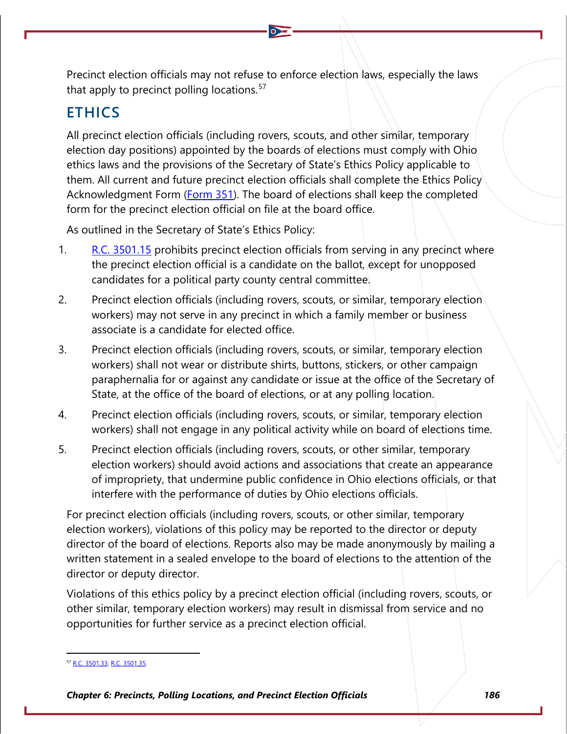Precinct election officials may not refuse to enforce election laws, especially the laws that apply to precinct polling locations.<sup>[57](#page-27-0)</sup>

## **ETHICS**

All precinct election officials (including rovers, scouts, and other similar, temporary election day positions) appointed by the boards of elections must comply with Ohio ethics laws and the provisions of the Secretary of State's Ethics Policy applicable to them. All current and future precinct election officials shall complete the Ethics Policy Acknowledgment Form [\(Form 351\)](https://www.ohiosos.gov/globalassets/elections/forms/351.pdf). The board of elections shall keep the completed form for the precinct election official on file at the board office.

As outlined in the Secretary of State's Ethics Policy:

- 1. R.C. [3501.15](http://codes.ohio.gov/orc/3501.15) prohibits precinct election officials from serving in any precinct where the precinct election official is a candidate on the ballot, except for unopposed candidates for a political party county central committee.
- 2. Precinct election officials (including rovers, scouts, or similar, temporary election) workers) may not serve in any precinct in which a family member or business associate is a candidate for elected office.
- 3. Precinct election officials (including rovers, scouts, or similar, temporary election workers) shall not wear or distribute shirts, buttons, stickers, or other campaign paraphernalia for or against any candidate or issue at the office of the Secretary of State, at the office of the board of elections, or at any polling location.
- 4. Precinct election officials (including rovers, scouts, or similar, temporary election workers) shall not engage in any political activity while on board of elections time.
- 5. Precinct election officials (including rovers, scouts, or other similar, temporary election workers) should avoid actions and associations that create an appearance of impropriety, that undermine public confidence in Ohio elections officials, or that interfere with the performance of duties by Ohio elections officials.

For precinct election officials (including rovers, scouts, or other similar, temporary election workers), violations of this policy may be reported to the director or deputy director of the board of elections. Reports also may be made anonymously by mailing a written statement in a sealed envelope to the board of elections to the attention of the director or deputy director.

Violations of this ethics policy by a precinct election official (including rovers, scouts, or other similar, temporary election workers) may result in dismissal from service and no opportunities for further service as a precinct election official.

<span id="page-27-0"></span><sup>&</sup>lt;sup>7</sup> [R.C. 3501.33;](http://codes.ohio.gov/orc/3501.33) [R.C. 3501.35.](http://codes.ohio.gov/orc/3501.35)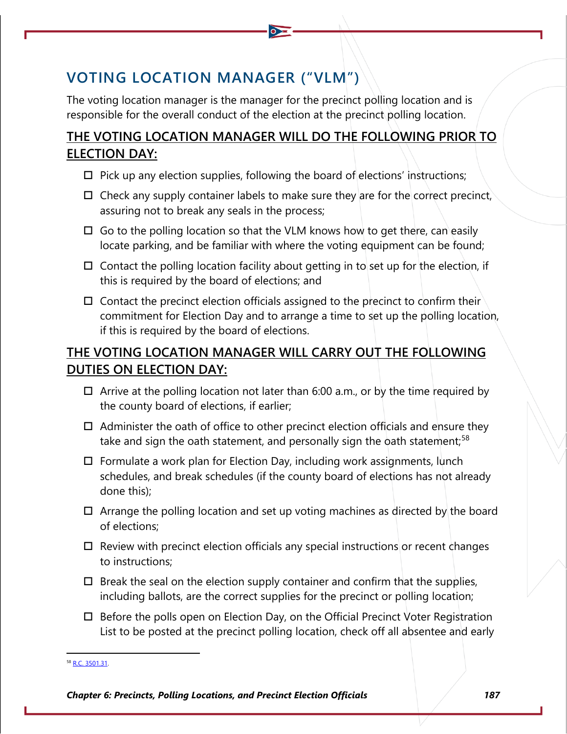# **VOTING LOCATION MANAGER ("VLM")**

The voting location manager is the manager for the precinct polling location and is responsible for the overall conduct of the election at the precinct polling location.

## **THE VOTING LOCATION MANAGER WILL DO THE FOLLOWING PRIOR TO ELECTION DAY:**

- $\Box$  Pick up any election supplies, following the board of elections' instructions;
- $\Box$  Check any supply container labels to make sure they are for the correct precinct, assuring not to break any seals in the process;
- $\Box$  Go to the polling location so that the VLM knows how to get there, can easily locate parking, and be familiar with where the voting equipment can be found;
- $\square$  Contact the polling location facility about getting in to set up for the election, if this is required by the board of elections; and
- $\Box$  Contact the precinct election officials assigned to the precinct to confirm their commitment for Election Day and to arrange a time to set up the polling location, if this is required by the board of elections.

## **THE VOTING LOCATION MANAGER WILL CARRY OUT THE FOLLOWING DUTIES ON ELECTION DAY:**

- $\Box$  Arrive at the polling location not later than 6:00 a.m., or by the time required by the county board of elections, if earlier;
- $\Box$  Administer the oath of office to other precinct election officials and ensure they take and sign the oath statement, and personally sign the oath statement;<sup>[58](#page-28-0)</sup>
- $\Box$  Formulate a work plan for Election Day, including work assignments, lunch schedules, and break schedules (if the county board of elections has not already done this);
- $\Box$  Arrange the polling location and set up voting machines as directed by the board of elections;
- $\Box$  Review with precinct election officials any special instructions or recent changes to instructions;
- $\Box$  Break the seal on the election supply container and confirm that the supplies, including ballots, are the correct supplies for the precinct or polling location;
- $\Box$  Before the polls open on Election Day, on the Official Precinct Voter Registration List to be posted at the precinct polling location, check off all absentee and early

<span id="page-28-0"></span><sup>8</sup> [R.C. 3501.31.](http://codes.ohio.gov/orc/3501.31)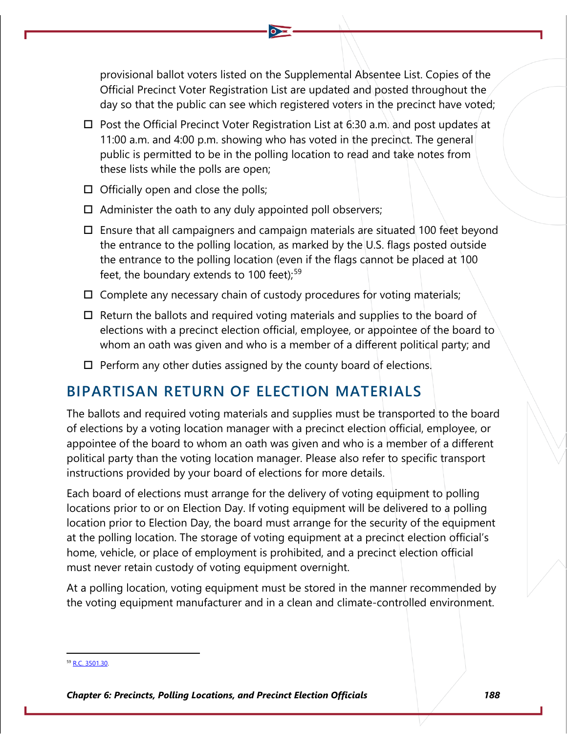provisional ballot voters listed on the Supplemental Absentee List. Copies of the Official Precinct Voter Registration List are updated and posted throughout the day so that the public can see which registered voters in the precinct have voted;

- $\Box$  Post the Official Precinct Voter Registration List at 6:30 a.m. and post updates at 11:00 a.m. and 4:00 p.m. showing who has voted in the precinct. The general public is permitted to be in the polling location to read and take notes from these lists while the polls are open;
- $\Box$  Officially open and close the polls;
- $\Box$  Administer the oath to any duly appointed poll observers;
- $\Box$  Ensure that all campaigners and campaign materials are situated 100 feet beyond the entrance to the polling location, as marked by the U.S. flags posted outside the entrance to the polling location (even if the flags cannot be placed at 100 feet, the boundary extends to 100 feet); $59$
- $\Box$  Complete any necessary chain of custody procedures for voting materials;
- $\Box$  Return the ballots and required voting materials and supplies to the board of elections with a precinct election official, employee, or appointee of the board to whom an oath was given and who is a member of a different political party; and
- $\Box$  Perform any other duties assigned by the county board of elections.

## **BIPARTISAN RETURN OF ELECTION MATERIALS**

The ballots and required voting materials and supplies must be transported to the board of elections by a voting location manager with a precinct election official, employee, or appointee of the board to whom an oath was given and who is a member of a different political party than the voting location manager. Please also refer to specific transport instructions provided by your board of elections for more details.

Each board of elections must arrange for the delivery of voting equipment to polling locations prior to or on Election Day. If voting equipment will be delivered to a polling location prior to Election Day, the board must arrange for the security of the equipment at the polling location. The storage of voting equipment at a precinct election official's home, vehicle, or place of employment is prohibited, and a precinct election official must never retain custody of voting equipment overnight.

At a polling location, voting equipment must be stored in the manner recommended by the voting equipment manufacturer and in a clean and climate-controlled environment.

<span id="page-29-0"></span><sup>&</sup>lt;sup>59</sup> [R.C. 3501.30.](http://codes.ohio.gov/orc/3501.30)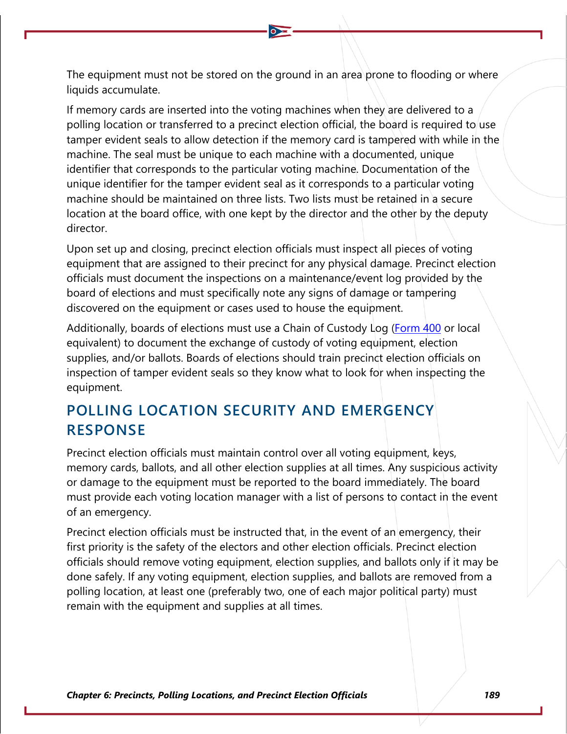The equipment must not be stored on the ground in an area prone to flooding or where liquids accumulate.

If memory cards are inserted into the voting machines when they are delivered to a polling location or transferred to a precinct election official, the board is required to use tamper evident seals to allow detection if the memory card is tampered with while in the machine. The seal must be unique to each machine with a documented, unique identifier that corresponds to the particular voting machine. Documentation of the unique identifier for the tamper evident seal as it corresponds to a particular voting machine should be maintained on three lists. Two lists must be retained in a secure location at the board office, with one kept by the director and the other by the deputy director.

Upon set up and closing, precinct election officials must inspect all pieces of voting equipment that are assigned to their precinct for any physical damage. Precinct election officials must document the inspections on a maintenance/event log provided by the board of elections and must specifically note any signs of damage or tampering discovered on the equipment or cases used to house the equipment.

Additionally, boards of elections must use a Chain of Custody Log [\(Form 400](https://www.ohiosos.gov/globalassets/elections/forms/400.pdf) or local equivalent) to document the exchange of custody of voting equipment, election supplies, and/or ballots. Boards of elections should train precinct election officials on inspection of tamper evident seals so they know what to look for when inspecting the equipment.

# **POLLING LOCATION SECURITY AND EMERGENCY RESPONSE**

Precinct election officials must maintain control over all voting equipment, keys, memory cards, ballots, and all other election supplies at all times. Any suspicious activity or damage to the equipment must be reported to the board immediately. The board must provide each voting location manager with a list of persons to contact in the event of an emergency.

Precinct election officials must be instructed that, in the event of an emergency, their first priority is the safety of the electors and other election officials. Precinct election officials should remove voting equipment, election supplies, and ballots only if it may be done safely. If any voting equipment, election supplies, and ballots are removed from a polling location, at least one (preferably two, one of each major political party) must remain with the equipment and supplies at all times.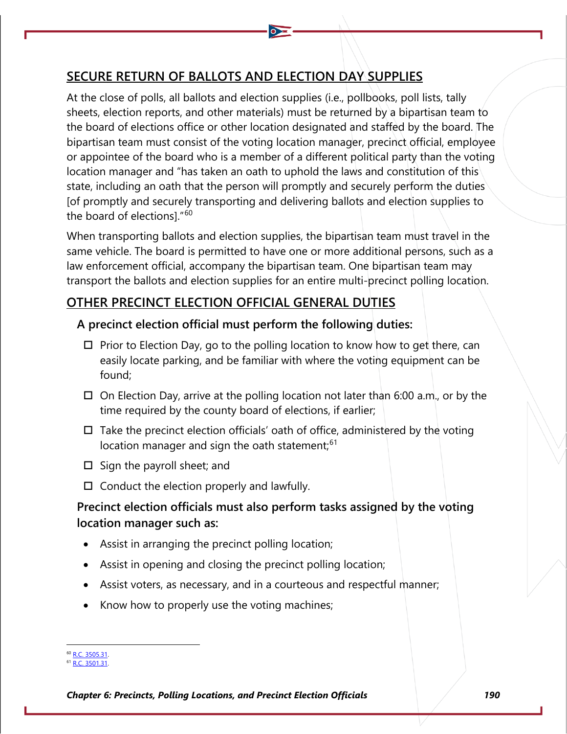## **SECURE RETURN OF BALLOTS AND ELECTION DAY SUPPLIES**

At the close of polls, all ballots and election supplies (i.e., pollbooks, poll lists, tally sheets, election reports, and other materials) must be returned by a bipartisan team to the board of elections office or other location designated and staffed by the board. The bipartisan team must consist of the voting location manager, precinct official, employee or appointee of the board who is a member of a different political party than the voting location manager and "has taken an oath to uphold the laws and constitution of this state, including an oath that the person will promptly and securely perform the duties [of promptly and securely transporting and delivering ballots and election supplies to the board of elections]."[60](#page-31-0)

When transporting ballots and election supplies, the bipartisan team must travel in the same vehicle. The board is permitted to have one or more additional persons, such as a law enforcement official, accompany the bipartisan team. One bipartisan team may transport the ballots and election supplies for an entire multi-precinct polling location.

## **OTHER PRECINCT ELECTION OFFICIAL GENERAL DUTIES**

### **A precinct election official must perform the following duties:**

- $\Box$  Prior to Election Day, go to the polling location to know how to get there, can easily locate parking, and be familiar with where the voting equipment can be found;
- $\Box$  On Election Day, arrive at the polling location not later than 6:00 a.m., or by the time required by the county board of elections, if earlier;
- $\Box$  Take the precinct election officials' oath of office, administered by the voting location manager and sign the oath statement;<sup>[61](#page-31-1)</sup>
- $\square$  Sign the payroll sheet; and
- $\Box$  Conduct the election properly and lawfully.

## **Precinct election officials must also perform tasks assigned by the voting location manager such as:**

- Assist in arranging the precinct polling location;
- Assist in opening and closing the precinct polling location;
- Assist voters, as necessary, and in a courteous and respectful manner;
- Know how to properly use the voting machines;

<span id="page-31-1"></span><span id="page-31-0"></span><sup>&</sup>lt;sup>60</sup> [R.C. 3505.31.](http://codes.ohio.gov/orc/3501.31)

<sup>&</sup>lt;sup>51</sup> [R.C. 3501.31.](http://codes.ohio.gov/orc/3501.31)